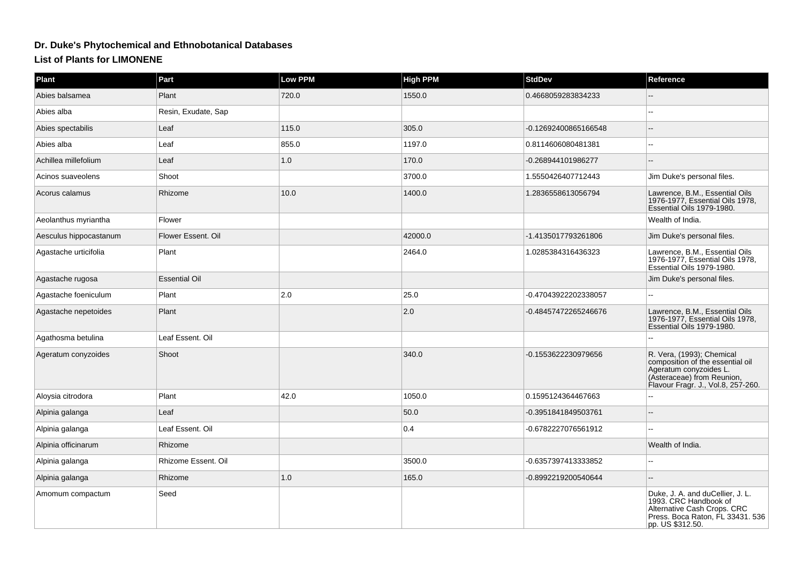## **Dr. Duke's Phytochemical and Ethnobotanical Databases**

## **List of Plants for LIMONENE**

| <b>Plant</b>           | Part                 | <b>Low PPM</b> | <b>High PPM</b> | <b>StdDev</b>        | Reference                                                                                                                                                   |
|------------------------|----------------------|----------------|-----------------|----------------------|-------------------------------------------------------------------------------------------------------------------------------------------------------------|
| Abies balsamea         | Plant                | 720.0          | 1550.0          | 0.4668059283834233   |                                                                                                                                                             |
| Abies alba             | Resin, Exudate, Sap  |                |                 |                      |                                                                                                                                                             |
| Abies spectabilis      | Leaf                 | 115.0          | 305.0           | -0.12692400865166548 |                                                                                                                                                             |
| Abies alba             | Leaf                 | 855.0          | 1197.0          | 0.8114606080481381   |                                                                                                                                                             |
| Achillea millefolium   | Leaf                 | 1.0            | 170.0           | -0.268944101986277   |                                                                                                                                                             |
| Acinos suaveolens      | Shoot                |                | 3700.0          | 1.5550426407712443   | Jim Duke's personal files.                                                                                                                                  |
| Acorus calamus         | Rhizome              | 10.0           | 1400.0          | 1.2836558613056794   | Lawrence, B.M., Essential Oils<br>1976-1977, Essential Oils 1978,<br>Essential Oils 1979-1980.                                                              |
| Aeolanthus myriantha   | Flower               |                |                 |                      | Wealth of India.                                                                                                                                            |
| Aesculus hippocastanum | Flower Essent, Oil   |                | 42000.0         | -1.4135017793261806  | Jim Duke's personal files.                                                                                                                                  |
| Agastache urticifolia  | Plant                |                | 2464.0          | 1.0285384316436323   | Lawrence, B.M., Essential Oils<br>1976-1977, Essential Oils 1978,<br>Essential Oils 1979-1980.                                                              |
| Agastache rugosa       | <b>Essential Oil</b> |                |                 |                      | Jim Duke's personal files.                                                                                                                                  |
| Agastache foeniculum   | Plant                | 2.0            | 25.0            | -0.47043922202338057 |                                                                                                                                                             |
| Agastache nepetoides   | Plant                |                | 2.0             | -0.48457472265246676 | Lawrence, B.M., Essential Oils<br>1976-1977, Essential Oils 1978,<br>Essential Oils 1979-1980.                                                              |
| Agathosma betulina     | Leaf Essent. Oil     |                |                 |                      |                                                                                                                                                             |
| Ageratum conyzoides    | Shoot                |                | 340.0           | -0.1553622230979656  | R. Vera, (1993); Chemical<br>composition of the essential oil<br>Ageratum conyzoides L.<br>(Asteraceae) from Reunion,<br>Flavour Fragr. J., Vol.8, 257-260. |
| Aloysia citrodora      | Plant                | 42.0           | 1050.0          | 0.1595124364467663   |                                                                                                                                                             |
| Alpinia galanga        | Leaf                 |                | 50.0            | -0.3951841849503761  |                                                                                                                                                             |
| Alpinia galanga        | Leaf Essent. Oil     |                | 0.4             | -0.6782227076561912  |                                                                                                                                                             |
| Alpinia officinarum    | Rhizome              |                |                 |                      | Wealth of India.                                                                                                                                            |
| Alpinia galanga        | Rhizome Essent. Oil  |                | 3500.0          | -0.6357397413333852  |                                                                                                                                                             |
| Alpinia galanga        | Rhizome              | 1.0            | 165.0           | -0.8992219200540644  |                                                                                                                                                             |
| Amomum compactum       | Seed                 |                |                 |                      | Duke, J. A. and duCellier, J. L.<br>1993. CRC Handbook of<br>Alternative Cash Crops. CRC<br>Press. Boca Raton, FL 33431. 536<br>pp. US \$312.50.            |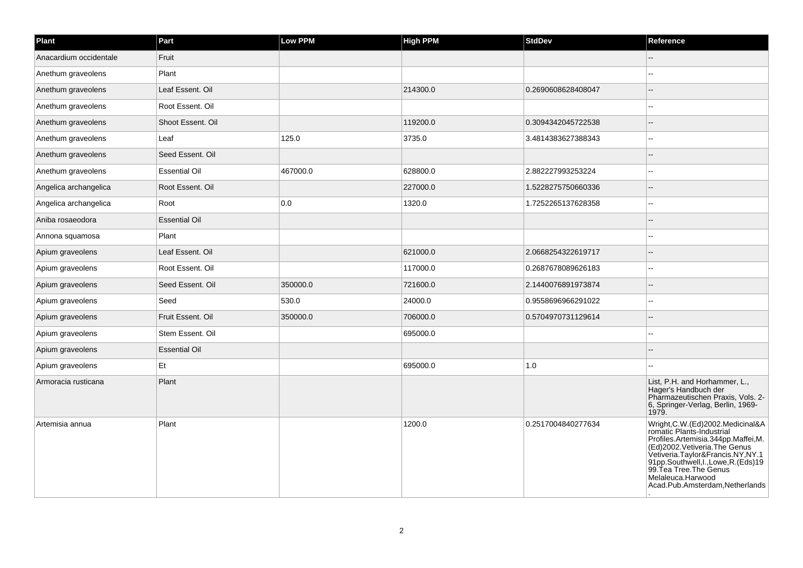| Plant                  | Part                 | <b>Low PPM</b> | <b>High PPM</b> | <b>StdDev</b>      | Reference                                                                                                                                                                                                                                                                                                |
|------------------------|----------------------|----------------|-----------------|--------------------|----------------------------------------------------------------------------------------------------------------------------------------------------------------------------------------------------------------------------------------------------------------------------------------------------------|
| Anacardium occidentale | Fruit                |                |                 |                    |                                                                                                                                                                                                                                                                                                          |
| Anethum graveolens     | Plant                |                |                 |                    | ä,                                                                                                                                                                                                                                                                                                       |
| Anethum graveolens     | Leaf Essent. Oil     |                | 214300.0        | 0.2690608628408047 |                                                                                                                                                                                                                                                                                                          |
| Anethum graveolens     | Root Essent. Oil     |                |                 |                    |                                                                                                                                                                                                                                                                                                          |
| Anethum graveolens     | Shoot Essent. Oil    |                | 119200.0        | 0.3094342045722538 |                                                                                                                                                                                                                                                                                                          |
| Anethum graveolens     | Leaf                 | 125.0          | 3735.0          | 3.4814383627388343 |                                                                                                                                                                                                                                                                                                          |
| Anethum graveolens     | Seed Essent, Oil     |                |                 |                    |                                                                                                                                                                                                                                                                                                          |
| Anethum graveolens     | <b>Essential Oil</b> | 467000.0       | 628800.0        | 2.882227993253224  |                                                                                                                                                                                                                                                                                                          |
| Angelica archangelica  | Root Essent. Oil     |                | 227000.0        | 1.5228275750660336 |                                                                                                                                                                                                                                                                                                          |
| Angelica archangelica  | Root                 | 0.0            | 1320.0          | 1.7252265137628358 |                                                                                                                                                                                                                                                                                                          |
| Aniba rosaeodora       | <b>Essential Oil</b> |                |                 |                    |                                                                                                                                                                                                                                                                                                          |
| Annona squamosa        | Plant                |                |                 |                    |                                                                                                                                                                                                                                                                                                          |
| Apium graveolens       | Leaf Essent. Oil     |                | 621000.0        | 2.0668254322619717 |                                                                                                                                                                                                                                                                                                          |
| Apium graveolens       | Root Essent. Oil     |                | 117000.0        | 0.2687678089626183 |                                                                                                                                                                                                                                                                                                          |
| Apium graveolens       | Seed Essent. Oil     | 350000.0       | 721600.0        | 2.1440076891973874 |                                                                                                                                                                                                                                                                                                          |
| Apium graveolens       | Seed                 | 530.0          | 24000.0         | 0.9558696966291022 |                                                                                                                                                                                                                                                                                                          |
| Apium graveolens       | Fruit Essent. Oil    | 350000.0       | 706000.0        | 0.5704970731129614 |                                                                                                                                                                                                                                                                                                          |
| Apium graveolens       | Stem Essent. Oil     |                | 695000.0        |                    |                                                                                                                                                                                                                                                                                                          |
| Apium graveolens       | <b>Essential Oil</b> |                |                 |                    |                                                                                                                                                                                                                                                                                                          |
| Apium graveolens       | Et                   |                | 695000.0        | 1.0                |                                                                                                                                                                                                                                                                                                          |
| Armoracia rusticana    | Plant                |                |                 |                    | List, P.H. and Horhammer, L.,<br>Hager's Handbuch der<br>Pharmazeutischen Praxis, Vols. 2-<br>6, Springer-Verlag, Berlin, 1969-<br>1979.                                                                                                                                                                 |
| Artemisia annua        | Plant                |                | 1200.0          | 0.2517004840277634 | Wright, C.W. (Ed) 2002. Medicinal & A<br>romatic Plants-Industrial<br>Profiles.Artemisia.344pp.Maffei,M.<br>(Ed)2002. Vetiveria. The Genus<br>Vetiveria.Taylor&Francis.NY,NY.1<br>91pp.Southwell, I., Lowe, R. (Eds) 19<br>99.Tea Tree. The Genus<br>Melaleuca.Harwood<br>Acad.Pub.Amsterdam,Netherlands |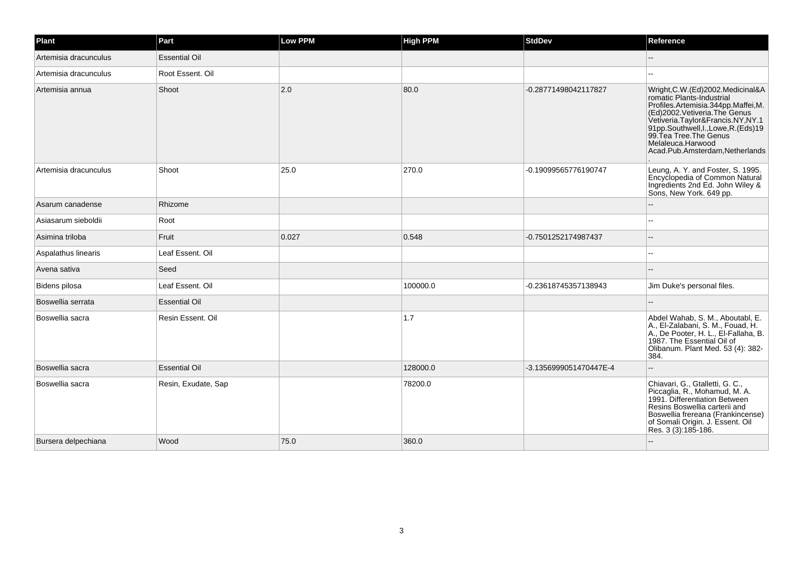| Plant                 | Part                 | <b>Low PPM</b> | <b>High PPM</b> | <b>StdDev</b>          | Reference                                                                                                                                                                                                                                                                                            |
|-----------------------|----------------------|----------------|-----------------|------------------------|------------------------------------------------------------------------------------------------------------------------------------------------------------------------------------------------------------------------------------------------------------------------------------------------------|
| Artemisia dracunculus | <b>Essential Oil</b> |                |                 |                        |                                                                                                                                                                                                                                                                                                      |
| Artemisia dracunculus | Root Essent. Oil     |                |                 |                        |                                                                                                                                                                                                                                                                                                      |
| Artemisia annua       | Shoot                | 2.0            | 80.0            | -0.28771498042117827   | Wright, C.W. (Ed) 2002. Medicinal & A<br>romatic Plants-Industrial<br>Profiles.Artemisia.344pp.Maffei,M.<br>(Ed)2002. Vetiveria. The Genus<br>Vetiveria.Taylor&Francis.NY,NY.1<br>91pp.Southwell,I.,Lowe,R.(Eds)19<br>99. Tea Tree. The Genus<br>Melaleuca.Harwood<br>Acad.Pub.Amsterdam,Netherlands |
| Artemisia dracunculus | Shoot                | 25.0           | 270.0           | -0.19099565776190747   | Leung, A. Y. and Foster, S. 1995.<br>Encyclopedia of Common Natural<br>Ingredients 2nd Ed. John Wiley &<br>Sons, New York. 649 pp.                                                                                                                                                                   |
| Asarum canadense      | Rhizome              |                |                 |                        |                                                                                                                                                                                                                                                                                                      |
| Asiasarum sieboldii   | Root                 |                |                 |                        |                                                                                                                                                                                                                                                                                                      |
| Asimina triloba       | Fruit                | 0.027          | 0.548           | -0.7501252174987437    |                                                                                                                                                                                                                                                                                                      |
| Aspalathus linearis   | Leaf Essent. Oil     |                |                 |                        |                                                                                                                                                                                                                                                                                                      |
| Avena sativa          | Seed                 |                |                 |                        |                                                                                                                                                                                                                                                                                                      |
| Bidens pilosa         | Leaf Essent. Oil     |                | 100000.0        | -0.23618745357138943   | Jim Duke's personal files.                                                                                                                                                                                                                                                                           |
| Boswellia serrata     | <b>Essential Oil</b> |                |                 |                        |                                                                                                                                                                                                                                                                                                      |
| Boswellia sacra       | Resin Essent. Oil    |                | 1.7             |                        | Abdel Wahab, S. M., Aboutabl, E.<br>A., El-Zalabani, S. M., Fouad, H.<br>A., De Pooter, H. L., El-Fallaha, B.<br>1987. The Essential Oil of<br>Olibanum. Plant Med. 53 (4): 382-<br>384.                                                                                                             |
| Boswellia sacra       | <b>Essential Oil</b> |                | 128000.0        | -3.1356999051470447E-4 |                                                                                                                                                                                                                                                                                                      |
| Boswellia sacra       | Resin, Exudate, Sap  |                | 78200.0         |                        | Chiavari, G., Gtalletti, G. C.,<br>Piccaglia, R., Mohamud, M. A.<br>1991. Differentiation Between<br>Resins Boswellia carterii and<br>Boswellia frereana (Frankincense)<br>of Somali Origin. J. Essent. Oil<br>Res. 3 (3):185-186.                                                                   |
| Bursera delpechiana   | Wood                 | 75.0           | 360.0           |                        |                                                                                                                                                                                                                                                                                                      |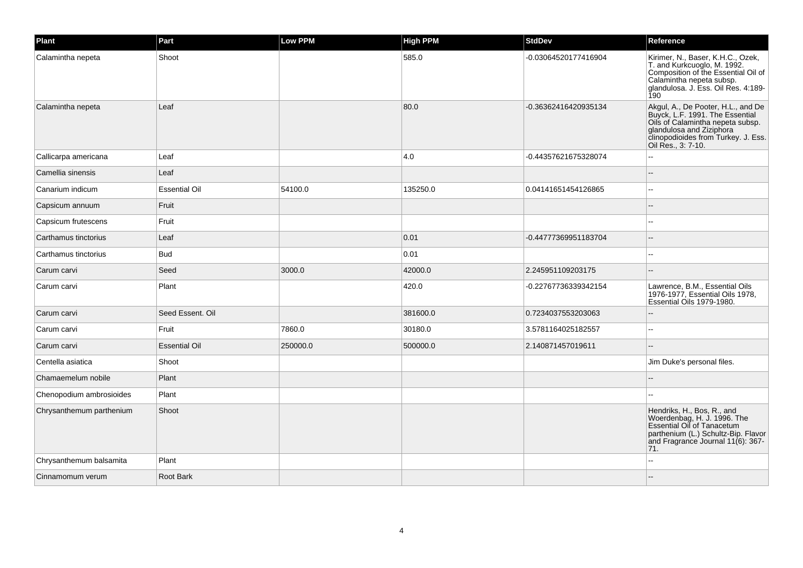| Plant                    | Part                 | <b>Low PPM</b> | <b>High PPM</b> | <b>StdDev</b>        | Reference                                                                                                                                                                                          |
|--------------------------|----------------------|----------------|-----------------|----------------------|----------------------------------------------------------------------------------------------------------------------------------------------------------------------------------------------------|
| Calamintha nepeta        | Shoot                |                | 585.0           | -0.03064520177416904 | Kirimer, N., Baser, K.H.C., Ozek,<br>T. and Kurkcuoglo, M. 1992.<br>Composition of the Essential Oil of<br>Calamintha nepeta subsp.<br>glandulosa. J. Ess. Oil Res. 4:189-<br>190                  |
| Calamintha nepeta        | Leaf                 |                | 80.0            | -0.36362416420935134 | Akgul, A., De Pooter, H.L., and De<br>Buyck, L.F. 1991. The Essential<br>Oils of Calamintha nepeta subsp.<br>glandulosa and Ziziphora<br>clinopodioides from Turkey. J. Ess.<br>Oil Res., 3: 7-10. |
| Callicarpa americana     | Leaf                 |                | 4.0             | -0.44357621675328074 |                                                                                                                                                                                                    |
| Camellia sinensis        | Leaf                 |                |                 |                      |                                                                                                                                                                                                    |
| Canarium indicum         | <b>Essential Oil</b> | 54100.0        | 135250.0        | 0.04141651454126865  |                                                                                                                                                                                                    |
| Capsicum annuum          | Fruit                |                |                 |                      |                                                                                                                                                                                                    |
| Capsicum frutescens      | Fruit                |                |                 |                      |                                                                                                                                                                                                    |
| Carthamus tinctorius     | Leaf                 |                | 0.01            | -0.44777369951183704 |                                                                                                                                                                                                    |
| Carthamus tinctorius     | <b>Bud</b>           |                | 0.01            |                      |                                                                                                                                                                                                    |
| Carum carvi              | Seed                 | 3000.0         | 42000.0         | 2.245951109203175    |                                                                                                                                                                                                    |
| Carum carvi              | Plant                |                | 420.0           | -0.22767736339342154 | Lawrence, B.M., Essential Oils<br>1976-1977, Essential Oils 1978,<br>Essential Oils 1979-1980.                                                                                                     |
| Carum carvi              | Seed Essent, Oil     |                | 381600.0        | 0.7234037553203063   |                                                                                                                                                                                                    |
| Carum carvi              | Fruit                | 7860.0         | 30180.0         | 3.5781164025182557   |                                                                                                                                                                                                    |
| Carum carvi              | <b>Essential Oil</b> | 250000.0       | 500000.0        | 2.140871457019611    |                                                                                                                                                                                                    |
| Centella asiatica        | Shoot                |                |                 |                      | Jim Duke's personal files.                                                                                                                                                                         |
| Chamaemelum nobile       | Plant                |                |                 |                      |                                                                                                                                                                                                    |
| Chenopodium ambrosioides | Plant                |                |                 |                      |                                                                                                                                                                                                    |
| Chrysanthemum parthenium | Shoot                |                |                 |                      | Hendriks, H., Bos, R., and<br>Woerdenbag, H. J. 1996. The<br>Essential Oil of Tanacetum<br>parthenium (L.) Schultz-Bip. Flavor<br>and Fragrance Journal 11(6): 367-<br>71.                         |
| Chrysanthemum balsamita  | Plant                |                |                 |                      |                                                                                                                                                                                                    |
| Cinnamomum verum         | Root Bark            |                |                 |                      |                                                                                                                                                                                                    |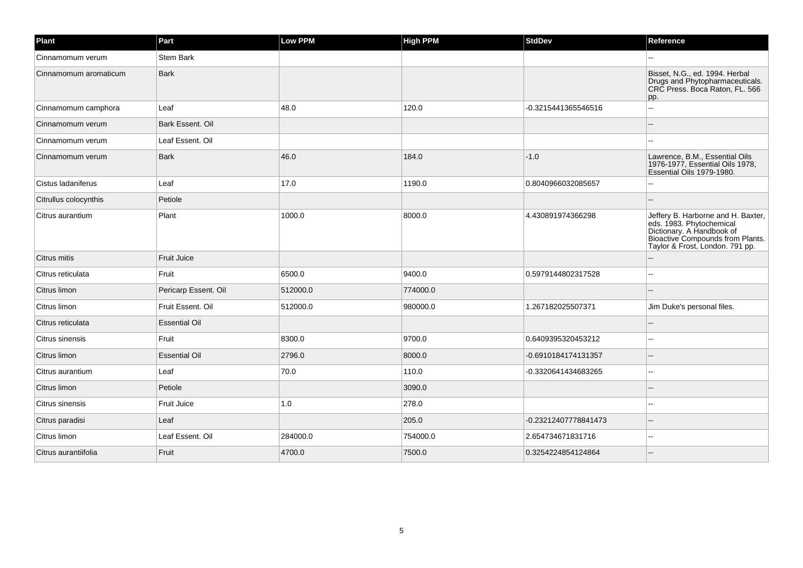| Plant                 | Part                 | <b>Low PPM</b> | <b>High PPM</b> | <b>StdDev</b>        | Reference                                                                                                                                                          |
|-----------------------|----------------------|----------------|-----------------|----------------------|--------------------------------------------------------------------------------------------------------------------------------------------------------------------|
| Cinnamomum verum      | <b>Stem Bark</b>     |                |                 |                      |                                                                                                                                                                    |
| Cinnamomum aromaticum | <b>Bark</b>          |                |                 |                      | Bisset, N.G., ed. 1994. Herbal<br>Drugs and Phytopharmaceuticals.<br>CRC Press. Boca Raton, FL. 566<br>pp.                                                         |
| Cinnamomum camphora   | Leaf                 | 48.0           | 120.0           | -0.3215441365546516  |                                                                                                                                                                    |
| Cinnamomum verum      | Bark Essent. Oil     |                |                 |                      |                                                                                                                                                                    |
| Cinnamomum verum      | Leaf Essent. Oil     |                |                 |                      |                                                                                                                                                                    |
| Cinnamomum verum      | <b>Bark</b>          | 46.0           | 184.0           | $-1.0$               | Lawrence, B.M., Essential Oils<br>1976-1977, Essential Oils 1978,<br>Essential Oils 1979-1980.                                                                     |
| Cistus ladaniferus    | Leaf                 | 17.0           | 1190.0          | 0.8040966032085657   |                                                                                                                                                                    |
| Citrullus colocynthis | Petiole              |                |                 |                      |                                                                                                                                                                    |
| Citrus aurantium      | Plant                | 1000.0         | 8000.0          | 4.430891974366298    | Jeffery B. Harborne and H. Baxter,<br>eds. 1983. Phytochemical<br>Dictionary. A Handbook of<br>Bioactive Compounds from Plants.<br>Taylor & Frost, London. 791 pp. |
| Citrus mitis          | Fruit Juice          |                |                 |                      |                                                                                                                                                                    |
| Citrus reticulata     | Fruit                | 6500.0         | 9400.0          | 0.5979144802317528   |                                                                                                                                                                    |
| Citrus limon          | Pericarp Essent. Oil | 512000.0       | 774000.0        |                      |                                                                                                                                                                    |
| Citrus limon          | Fruit Essent. Oil    | 512000.0       | 980000.0        | 1.267182025507371    | Jim Duke's personal files.                                                                                                                                         |
| Citrus reticulata     | <b>Essential Oil</b> |                |                 |                      |                                                                                                                                                                    |
| Citrus sinensis       | Fruit                | 8300.0         | 9700.0          | 0.6409395320453212   |                                                                                                                                                                    |
| Citrus limon          | <b>Essential Oil</b> | 2796.0         | 8000.0          | -0.6910184174131357  | $-$                                                                                                                                                                |
| Citrus aurantium      | Leaf                 | 70.0           | 110.0           | -0.3320641434683265  |                                                                                                                                                                    |
| Citrus limon          | Petiole              |                | 3090.0          |                      |                                                                                                                                                                    |
| Citrus sinensis       | Fruit Juice          | 1.0            | 278.0           |                      |                                                                                                                                                                    |
| Citrus paradisi       | Leaf                 |                | 205.0           | -0.23212407778841473 |                                                                                                                                                                    |
| Citrus limon          | Leaf Essent. Oil     | 284000.0       | 754000.0        | 2.654734671831716    | $-$                                                                                                                                                                |
| Citrus aurantiifolia  | Fruit                | 4700.0         | 7500.0          | 0.3254224854124864   |                                                                                                                                                                    |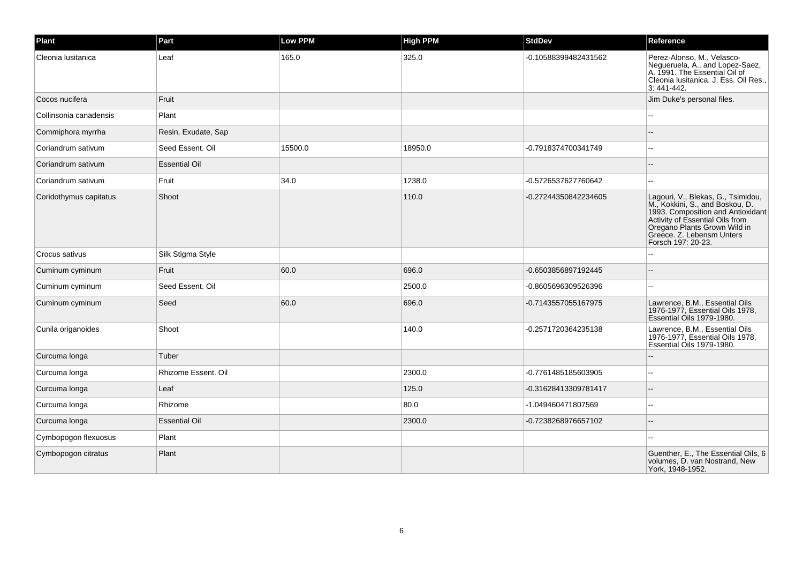| Plant                  | Part                 | <b>Low PPM</b> | <b>High PPM</b> | <b>StdDev</b>        | Reference                                                                                                                                                                                                                        |
|------------------------|----------------------|----------------|-----------------|----------------------|----------------------------------------------------------------------------------------------------------------------------------------------------------------------------------------------------------------------------------|
| Cleonia Iusitanica     | Leaf                 | 165.0          | 325.0           | -0.10588399482431562 | Perez-Alonso, M., Velasco-<br>Negueruela, A., and Lopez-Saez,<br>A. 1991. The Essential Oil of<br>Cleonia Iusitanica. J. Ess. Oil Res.,<br>3: 441-442.                                                                           |
| Cocos nucifera         | Fruit                |                |                 |                      | Jim Duke's personal files.                                                                                                                                                                                                       |
| Collinsonia canadensis | Plant                |                |                 |                      |                                                                                                                                                                                                                                  |
| Commiphora myrrha      | Resin, Exudate, Sap  |                |                 |                      |                                                                                                                                                                                                                                  |
| Coriandrum sativum     | Seed Essent, Oil     | 15500.0        | 18950.0         | -0.7918374700341749  | $\sim$                                                                                                                                                                                                                           |
| Coriandrum sativum     | <b>Essential Oil</b> |                |                 |                      | ٠.                                                                                                                                                                                                                               |
| Coriandrum sativum     | Fruit                | 34.0           | 1238.0          | -0.5726537627760642  |                                                                                                                                                                                                                                  |
| Coridothymus capitatus | Shoot                |                | 110.0           | -0.27244350842234605 | Lagouri, V., Blekas, G., Tsimidou,<br>M., Kokkini, S., and Boskou, D.<br>1993. Composition and Antioxidant<br>Activity of Essential Oils from<br>Oregano Plants Grown Wild in<br>Greece. Z. Lebensm Unters<br>Forsch 197: 20-23. |
| Crocus sativus         | Silk Stigma Style    |                |                 |                      |                                                                                                                                                                                                                                  |
| Cuminum cyminum        | Fruit                | 60.0           | 696.0           | -0.6503856897192445  | $\sim$                                                                                                                                                                                                                           |
| Cuminum cyminum        | Seed Essent, Oil     |                | 2500.0          | -0.8605696309526396  |                                                                                                                                                                                                                                  |
| Cuminum cyminum        | Seed                 | 60.0           | 696.0           | -0.7143557055167975  | Lawrence, B.M., Essential Oils<br>1976-1977, Essential Oils 1978,<br>Essential Oils 1979-1980.                                                                                                                                   |
| Cunila origanoides     | Shoot                |                | 140.0           | -0.2571720364235138  | Lawrence, B.M., Essential Oils<br>1976-1977, Essential Oils 1978,<br>Essential Oils 1979-1980.                                                                                                                                   |
| Curcuma longa          | Tuber                |                |                 |                      |                                                                                                                                                                                                                                  |
| Curcuma longa          | Rhizome Essent. Oil  |                | 2300.0          | -0.7761485185603905  | $\overline{a}$                                                                                                                                                                                                                   |
| Curcuma longa          | Leaf                 |                | 125.0           | -0.31628413309781417 |                                                                                                                                                                                                                                  |
| Curcuma longa          | Rhizome              |                | 80.0            | -1.049460471807569   | $-$                                                                                                                                                                                                                              |
| Curcuma longa          | <b>Essential Oil</b> |                | 2300.0          | -0.7238268976657102  | $\sim$                                                                                                                                                                                                                           |
| Cymbopogon flexuosus   | Plant                |                |                 |                      |                                                                                                                                                                                                                                  |
| Cymbopogon citratus    | Plant                |                |                 |                      | Guenther, E., The Essential Oils, 6<br>volumes, D. van Nostrand, New<br>York, 1948-1952.                                                                                                                                         |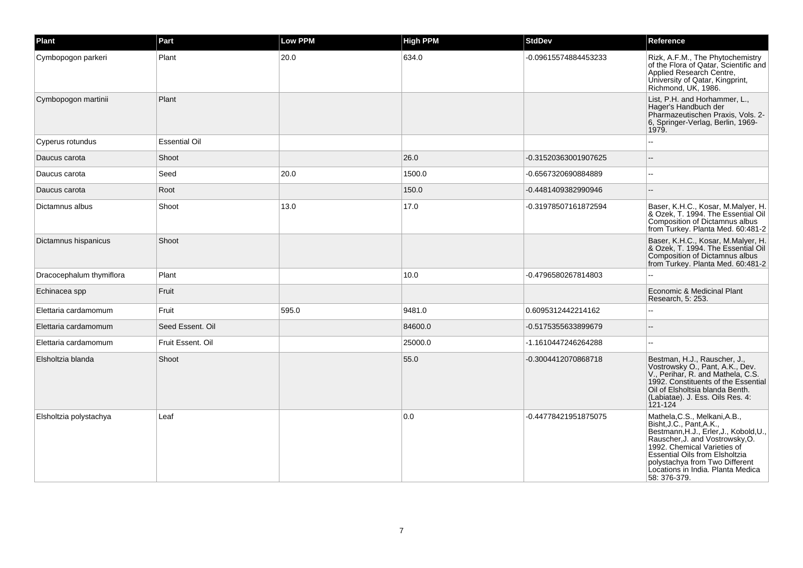| Plant                    | Part                 | <b>Low PPM</b> | <b>High PPM</b> | <b>StdDev</b>        | Reference                                                                                                                                                                                                                                                                                             |
|--------------------------|----------------------|----------------|-----------------|----------------------|-------------------------------------------------------------------------------------------------------------------------------------------------------------------------------------------------------------------------------------------------------------------------------------------------------|
| Cymbopogon parkeri       | Plant                | 20.0           | 634.0           | -0.09615574884453233 | Rizk, A.F.M., The Phytochemistry<br>of the Flora of Qatar, Scientific and<br>Applied Research Centre,<br>University of Qatar, Kingprint,<br>Richmond, UK, 1986.                                                                                                                                       |
| Cymbopogon martinii      | Plant                |                |                 |                      | List, P.H. and Horhammer, L.,<br>Hager's Handbuch der<br>Pharmazeutischen Praxis, Vols. 2-<br>6, Springer-Verlag, Berlin, 1969-<br>1979.                                                                                                                                                              |
| Cyperus rotundus         | <b>Essential Oil</b> |                |                 |                      | L.                                                                                                                                                                                                                                                                                                    |
| Daucus carota            | Shoot                |                | 26.0            | -0.31520363001907625 |                                                                                                                                                                                                                                                                                                       |
| Daucus carota            | Seed                 | 20.0           | 1500.0          | -0.6567320690884889  | $\sim$ $\sim$                                                                                                                                                                                                                                                                                         |
| Daucus carota            | Root                 |                | 150.0           | -0.4481409382990946  | $\sim$                                                                                                                                                                                                                                                                                                |
| Dictamnus albus          | Shoot                | 13.0           | 17.0            | -0.31978507161872594 | Baser, K.H.C., Kosar, M.Malyer, H.<br>& Ozek, T. 1994. The Essential Oil<br>Composition of Dictamnus albus<br>from Turkey. Planta Med. 60:481-2                                                                                                                                                       |
| Dictamnus hispanicus     | Shoot                |                |                 |                      | Baser, K.H.C., Kosar, M.Malyer, H.<br>& Ozek, T. 1994. The Essential Oil<br>Composition of Dictamnus albus<br>from Turkey. Planta Med. 60:481-2                                                                                                                                                       |
| Dracocephalum thymiflora | Plant                |                | 10.0            | -0.4796580267814803  |                                                                                                                                                                                                                                                                                                       |
| Echinacea spp            | Fruit                |                |                 |                      | Economic & Medicinal Plant<br>Research, 5: 253.                                                                                                                                                                                                                                                       |
| Elettaria cardamomum     | Fruit                | 595.0          | 9481.0          | 0.6095312442214162   |                                                                                                                                                                                                                                                                                                       |
| Elettaria cardamomum     | Seed Essent, Oil     |                | 84600.0         | -0.5175355633899679  |                                                                                                                                                                                                                                                                                                       |
| Elettaria cardamomum     | Fruit Essent, Oil    |                | 25000.0         | -1.1610447246264288  | $\sim$ $\sim$                                                                                                                                                                                                                                                                                         |
| Elsholtzia blanda        | Shoot                |                | 55.0            | -0.3004412070868718  | Bestman, H.J., Rauscher, J.,<br>Vostrowsky O., Pant, A.K., Dev.<br>V., Perihar, R. and Mathela, C.S.<br>1992. Constituents of the Essential<br>Oil of Elsholtsia blanda Benth.<br>(Labiatae). J. Ess. Oils Res. 4:<br>$121 - 124$                                                                     |
| Elsholtzia polystachya   | Leaf                 |                | 0.0             | -0.44778421951875075 | Mathela, C.S., Melkani, A.B.,<br>Bisht, J.C., Pant, A.K.,<br>Bestmann, H.J., Erler, J., Kobold, U.,<br>Rauscher, J. and Vostrowsky, O.<br>1992. Chemical Varieties of<br><b>Essential Oils from Elsholtzia</b><br>polystachya from Two Different<br>Locations in India. Planta Medica<br>58: 376-379. |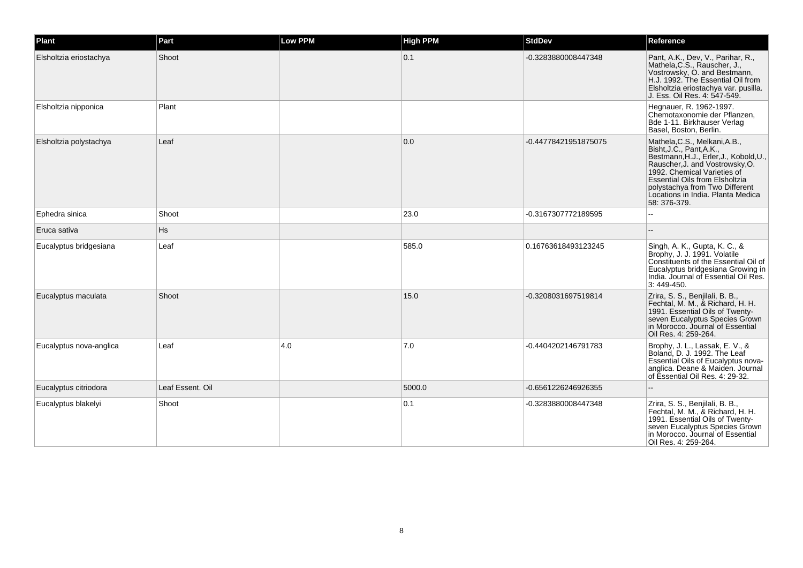| Plant                   | Part             | <b>Low PPM</b> | <b>High PPM</b> | <b>StdDev</b>        | Reference                                                                                                                                                                                                                                                                                             |
|-------------------------|------------------|----------------|-----------------|----------------------|-------------------------------------------------------------------------------------------------------------------------------------------------------------------------------------------------------------------------------------------------------------------------------------------------------|
| Elsholtzia eriostachya  | Shoot            |                | 0.1             | -0.3283880008447348  | Pant, A.K., Dev, V., Parihar, R.,<br>Mathela, C.S., Rauscher, J.,<br>Vostrowsky, O. and Bestmann,<br>H.J. 1992. The Essential Oil from<br>Elsholtzia eriostachya var. pusilla.<br>J. Ess. Oil Res. 4: 547-549.                                                                                        |
| Elsholtzia nipponica    | Plant            |                |                 |                      | Hegnauer, R. 1962-1997.<br>Chemotaxonomie der Pflanzen,<br>Bde 1-11. Birkhauser Verlag<br>Basel, Boston, Berlin.                                                                                                                                                                                      |
| Elsholtzia polystachya  | Leaf             |                | 0.0             | -0.44778421951875075 | Mathela, C.S., Melkani, A.B.,<br>Bisht, J.C., Pant, A.K.,<br>Bestmann, H.J., Erler, J., Kobold, U.,<br>Rauscher, J. and Vostrowsky, O.<br>1992. Chemical Varieties of<br><b>Essential Oils from Elsholtzia</b><br>polystachya from Two Different<br>Locations in India. Planta Medica<br>58: 376-379. |
| Ephedra sinica          | Shoot            |                | 23.0            | -0.3167307772189595  |                                                                                                                                                                                                                                                                                                       |
| Eruca sativa            | Hs               |                |                 |                      |                                                                                                                                                                                                                                                                                                       |
| Eucalyptus bridgesiana  | Leaf             |                | 585.0           | 0.16763618493123245  | Singh, A. K., Gupta, K. C., &<br>Brophy, J. J. 1991. Volatile<br>Constituents of the Essential Oil of<br>Eucalyptus bridgesiana Growing in<br>India. Journal of Essential Oil Res.<br>3:449-450.                                                                                                      |
| Eucalyptus maculata     | Shoot            |                | 15.0            | -0.3208031697519814  | Zrira, S. S., Benjilali, B. B.,<br>Fechtal, M. M., & Richard, H. H.<br>1991. Essential Oils of Twenty-<br>seven Eucalyptus Species Grown<br>in Morocco. Journal of Essential<br>Oil Res. 4: 259-264.                                                                                                  |
| Eucalyptus nova-anglica | Leaf             | 4.0            | 7.0             | -0.4404202146791783  | Brophy, J. L., Lassak, E. V., &<br>Boland, D. J. 1992. The Leaf<br>Essential Oils of Eucalyptus nova-<br>anglica. Deane & Maiden. Journal<br>of Essential Oil Res. 4: 29-32.                                                                                                                          |
| Eucalyptus citriodora   | Leaf Essent. Oil |                | 5000.0          | -0.6561226246926355  | $-$                                                                                                                                                                                                                                                                                                   |
| Eucalyptus blakelyi     | Shoot            |                | 0.1             | -0.3283880008447348  | Zrira, S. S., Benjilali, B. B.,<br>Fechtal, M. M., & Richard, H. H.<br>1991. Essential Oils of Twenty-<br>seven Eucalyptus Species Grown<br>in Morocco. Journal of Essential<br>Oil Res. 4: 259-264.                                                                                                  |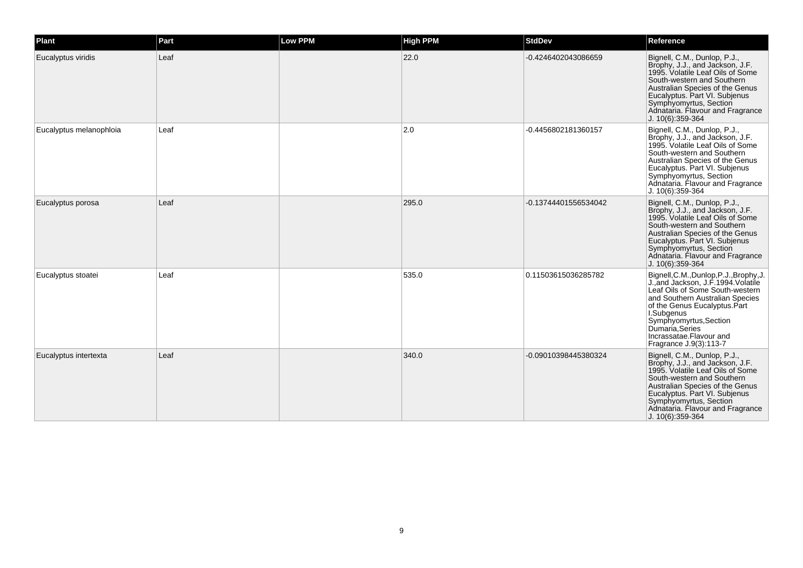| Plant                   | Part | Low PPM | <b>High PPM</b> | <b>StdDev</b>        | Reference                                                                                                                                                                                                                                                                                            |
|-------------------------|------|---------|-----------------|----------------------|------------------------------------------------------------------------------------------------------------------------------------------------------------------------------------------------------------------------------------------------------------------------------------------------------|
| Eucalyptus viridis      | Leaf |         | 22.0            | -0.4246402043086659  | Bignell, C.M., Dunlop, P.J.,<br>Brophy, J.J., and Jackson, J.F.<br>1995. Volatile Leaf Oils of Some<br>South-western and Southern<br>Australian Species of the Genus<br>Eucalyptus. Part VI. Subjenus<br>Symphyomyrtus, Section<br>Adnataria. Flavour and Fragrance<br>J. 10(6):359-364              |
| Eucalyptus melanophloia | Leaf |         | $ 2.0\rangle$   | -0.4456802181360157  | Bignell, C.M., Dunlop, P.J.,<br>Brophy, J.J., and Jackson, J.F.<br>1995. Volatile Leaf Oils of Some<br>South-western and Southern<br>Australian Species of the Genus<br>Eucalyptus. Part VI. Subjenus<br>Symphyomyrtus, Section<br>Adnataria. Flavour and Fragrance<br>$J. 10(6): 359-364$           |
| Eucalyptus porosa       | Leaf |         | 295.0           | -0.13744401556534042 | Bignell, C.M., Dunlop, P.J.,<br>Brophy, J.J., and Jackson, J.F.<br>1995. Volatile Leaf Oils of Some<br>South-western and Southern<br>Australian Species of the Genus<br>Eucalyptus. Part VI. Subjenus<br>Symphyomyrtus, Section<br>Adnataria. Flavour and Fragrance<br>J. 10(6):359-364              |
| Eucalyptus stoatei      | Leaf |         | 535.0           | 0.11503615036285782  | Bignell, C.M., Dunlop, P.J., Brophy, J.<br>J., and Jackson, J.F. 1994. Volatile<br>Leaf Oils of Some South-western<br>and Southern Australian Species<br>of the Genus Eucalyptus.Part<br>I.Subgenus<br>Symphyomyrtus, Section<br>Dumaria Series<br>Incrassatae.Flavour and<br>Fragrance J.9(3):113-7 |
| Eucalyptus intertexta   | Leaf |         | 340.0           | -0.09010398445380324 | Bignell, C.M., Dunlop, P.J.,<br>Brophy, J.J., and Jackson, J.F.<br>1995. Volatile Leaf Oils of Some<br>South-western and Southern<br>Australian Species of the Genus<br>Eucalyptus. Part VI. Subjenus<br>Symphyomyrtus, Section<br>Adnataria. Flavour and Fragrance<br>J. 10(6):359-364              |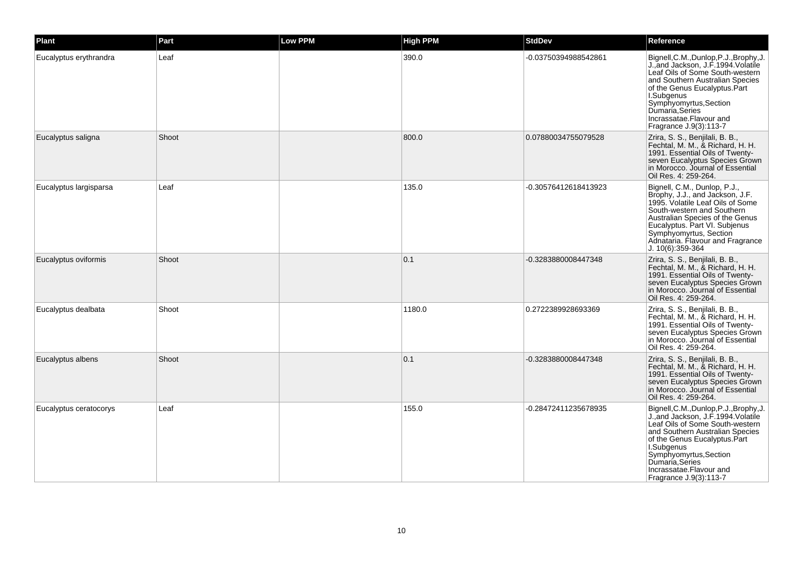| Plant                  | Part  | <b>Low PPM</b> | <b>High PPM</b> | <b>StdDev</b>        | Reference                                                                                                                                                                                                                                                                                              |
|------------------------|-------|----------------|-----------------|----------------------|--------------------------------------------------------------------------------------------------------------------------------------------------------------------------------------------------------------------------------------------------------------------------------------------------------|
| Eucalyptus erythrandra | Leaf  |                | 390.0           | -0.03750394988542861 | Bignell, C.M., Dunlop, P.J., Brophy, J.<br>J., and Jackson, J.F. 1994. Volatile<br>Leaf Oils of Some South-western<br>and Southern Australian Species<br>of the Genus Eucalyptus. Part<br>I.Subgenus<br>Symphyomyrtus, Section<br>Dumaría, Series<br>Incrassatae.Flavour and<br>Fragrance J.9(3):113-7 |
| Eucalyptus saligna     | Shoot |                | 800.0           | 0.07880034755079528  | Zrira, S. S., Benjilali, B. B.,<br>Fechtal, M. M., & Richard, H. H.<br>1991. Essential Oils of Twenty-<br>seven Eucalyptus Species Grown<br>in Morocco. Journal of Essential<br>Oil Res. 4: 259-264.                                                                                                   |
| Eucalyptus largisparsa | Leaf  |                | 135.0           | -0.30576412618413923 | Bignell, C.M., Dunlop, P.J.,<br>Brophy, J.J., and Jackson, J.F.<br>1995. Volatile Leaf Oils of Some<br>South-western and Southern<br>Australian Species of the Genus<br>Eucalyptus. Part VI. Subjenus<br>Symphyomyrtus, Section<br>Adnataria. Flavour and Fragrance<br>J. 10(6):359-364                |
| Eucalyptus oviformis   | Shoot |                | 0.1             | -0.3283880008447348  | Zrira, S. S., Benjilali, B. B.,<br>Fechtal, M. M., & Richard, H. H.<br>1991. Essential Oils of Twenty-<br>seven Eucalyptus Species Grown<br>in Morocco. Journal of Essential<br>Oil Res. 4: 259-264.                                                                                                   |
| Eucalyptus dealbata    | Shoot |                | 1180.0          | 0.2722389928693369   | Zrira, S. S., Benjilali, B. B.,<br>Fechtal, M. M., & Richard, H. H.<br>1991. Essential Oils of Twenty-<br>seven Eucalyptus Species Grown<br>in Morocco. Journal of Essential<br>Oil Res. 4: 259-264.                                                                                                   |
| Eucalyptus albens      | Shoot |                | 0.1             | -0.3283880008447348  | Zrira, S. S., Benjilali, B. B.,<br>Fechtal, M. M., & Richard, H. H.<br>1991. Essential Oils of Twenty-<br>seven Eucalyptus Species Grown<br>in Morocco. Journal of Essential<br>Oil Res. 4: 259-264.                                                                                                   |
| Eucalyptus ceratocorys | Leaf  |                | 155.0           | -0.28472411235678935 | Bignell, C.M., Dunlop, P.J., Brophy, J.<br>J., and Jackson, J.F. 1994. Volatile<br>Leaf Oils of Some South-western<br>and Southern Australian Species<br>of the Genus Eucalyptus.Part<br>I.Subgenus<br>Symphyomyrtus, Section<br>Dumaría, Series<br>Incrassatae.Flavour and<br>Fragrance J.9(3):113-7  |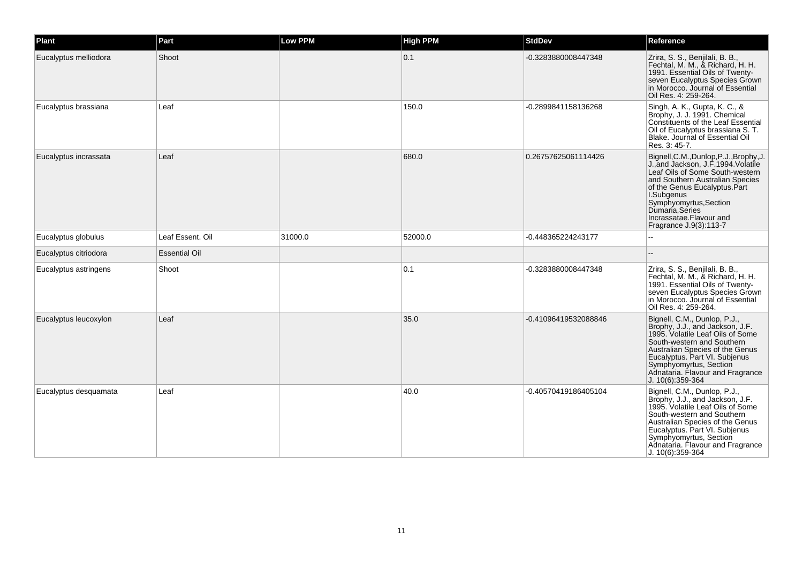| Plant                 | Part                 | <b>Low PPM</b> | <b>High PPM</b> | <b>StdDev</b>        | Reference                                                                                                                                                                                                                                                                                            |
|-----------------------|----------------------|----------------|-----------------|----------------------|------------------------------------------------------------------------------------------------------------------------------------------------------------------------------------------------------------------------------------------------------------------------------------------------------|
| Eucalyptus melliodora | Shoot                |                | 0.1             | -0.3283880008447348  | Zrira, S. S., Benjilali, B. B.,<br>Fechtal, M. M., & Richard, H. H.<br>1991. Essential Oils of Twenty-<br>seven Eucalyptus Species Grown<br>in Morocco. Journal of Essential<br>Oil Res. 4: 259-264.                                                                                                 |
| Eucalyptus brassiana  | Leaf                 |                | 150.0           | -0.2899841158136268  | Singh, A. K., Gupta, K. C., &<br>Brophy, J. J. 1991. Chemical<br>Constituents of the Leaf Essential<br>Oil of Eucalyptus brassiana S. T.<br>Blake. Journal of Essential Oil<br>Res. 3: 45-7.                                                                                                         |
| Eucalyptus incrassata | Leaf                 |                | 680.0           | 0.26757625061114426  | Bignell, C.M., Dunlop, P.J., Brophy, J.<br>J., and Jackson, J.F. 1994. Volatile<br>Leaf Oils of Some South-western<br>and Southern Australian Species<br>of the Genus Eucalyptus.Part<br>I.Subgenus<br>Symphyomyrtus, Section<br>Dumaría Series<br>Incrassatae.Flavour and<br>Fragrance J.9(3):113-7 |
| Eucalyptus globulus   | Leaf Essent. Oil     | 31000.0        | 52000.0         | -0.448365224243177   |                                                                                                                                                                                                                                                                                                      |
| Eucalyptus citriodora | <b>Essential Oil</b> |                |                 |                      |                                                                                                                                                                                                                                                                                                      |
| Eucalyptus astringens | Shoot                |                | 0.1             | -0.3283880008447348  | Zrira, S. S., Benjilali, B. B.,<br>Fechtal, M. M., & Richard, H. H.<br>1991. Essential Oils of Twenty-<br>seven Eucalyptus Species Grown<br>in Morocco. Journal of Essential<br>Oil Res. 4: 259-264.                                                                                                 |
| Eucalyptus leucoxylon | Leaf                 |                | 35.0            | -0.41096419532088846 | Bignell, C.M., Dunlop, P.J.,<br>Brophy, J.J., and Jackson, J.F.<br>1995. Volatile Leaf Oils of Some<br>South-western and Southern<br>Australian Species of the Genus<br>Eucalyptus. Part VI. Subjenus<br>Symphyomyrtus, Section<br>Adnataria. Flavour and Fragrance<br>J. 10(6):359-364              |
| Eucalyptus desquamata | Leaf                 |                | 40.0            | -0.40570419186405104 | Bignell, C.M., Dunlop, P.J.,<br>Brophy, J.J., and Jackson, J.F.<br>1995. Volatile Leaf Oils of Some<br>South-western and Southern<br>Australian Species of the Genus<br>Eucalyptus. Part VI. Subjenus<br>Symphyomyrtus, Section<br>Adnataria. Flavour and Fragrance<br>$J. 10(6)$ :359-364           |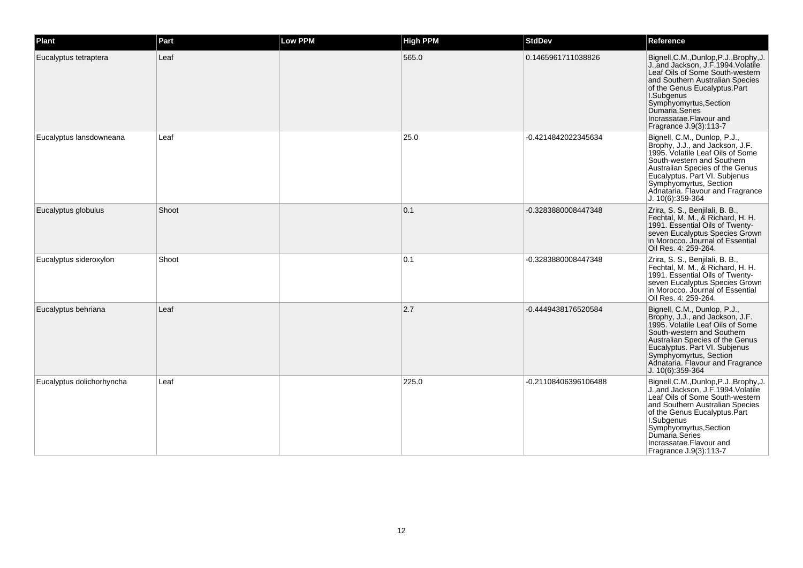| Plant                     | Part  | <b>Low PPM</b> | <b>High PPM</b> | <b>StdDev</b>        | Reference                                                                                                                                                                                                                                                                                             |
|---------------------------|-------|----------------|-----------------|----------------------|-------------------------------------------------------------------------------------------------------------------------------------------------------------------------------------------------------------------------------------------------------------------------------------------------------|
| Eucalyptus tetraptera     | Leaf  |                | 565.0           | 0.1465961711038826   | Bignell, C.M., Dunlop, P.J., Brophy, J.<br>J., and Jackson, J.F. 1994 Volatile<br>Leaf Oils of Some South-western<br>and Southern Australian Species<br>of the Genus Eucalyptus.Part<br>I.Subgenus<br>Symphyomyrtus, Section<br>Dumaria, Series<br>Incrassatae.Flavour and<br>Fragrance J.9(3):113-7  |
| Eucalyptus lansdowneana   | Leaf  |                | 25.0            | -0.4214842022345634  | Bignell, C.M., Dunlop, P.J.,<br>Brophy, J.J., and Jackson, J.F.<br>1995. Volatile Leaf Oils of Some<br>South-western and Southern<br>Australian Species of the Genus<br>Eucalyptus. Part VI. Subjenus<br>Symphyomyrtus, Section<br>Adnataria. Flavour and Fragrance<br>J. 10(6):359-364               |
| Eucalyptus globulus       | Shoot |                | 0.1             | -0.3283880008447348  | Zrira, S. S., Benjilali, B. B.,<br>Fechtal, M. M., & Richard, H. H.<br>1991. Essential Oils of Twenty-<br>seven Eucalyptus Species Grown<br>in Morocco. Journal of Essential<br>Oil Res. 4: 259-264.                                                                                                  |
| Eucalyptus sideroxylon    | Shoot |                | 0.1             | -0.3283880008447348  | Zrira, S. S., Benjilali, B. B.,<br>Fechtal, M. M., & Richard, H. H.<br>1991. Essential Oils of Twenty-<br>seven Eucalyptus Species Grown<br>in Morocco. Journal of Essential<br>Oil Res. 4: 259-264.                                                                                                  |
| Eucalyptus behriana       | Leaf  |                | 2.7             | -0.4449438176520584  | Bignell, C.M., Dunlop, P.J.,<br>Brophy, J.J., and Jackson, J.F.<br>1995. Volatile Leaf Oils of Some<br>South-western and Southern<br>Australian Species of the Genus<br>Eucalyptus. Part VI. Subjenus<br>Symphyomyrtus, Section<br>Adnataria. Flavour and Fragrance<br>J. 10(6):359-364               |
| Eucalyptus dolichorhyncha | Leaf  |                | 225.0           | -0.21108406396106488 | Bignell, C.M., Dunlop, P.J., Brophy, J.<br>J., and Jackson, J.F. 1994. Volatile<br>Leaf Oils of Some South-western<br>and Southern Australian Species<br>of the Genus Eucalyptus.Part<br>I.Subgenus<br>Symphyomyrtus, Section<br>Dumaria, Series<br>Incrassatae.Flavour and<br>Fragrance J.9(3):113-7 |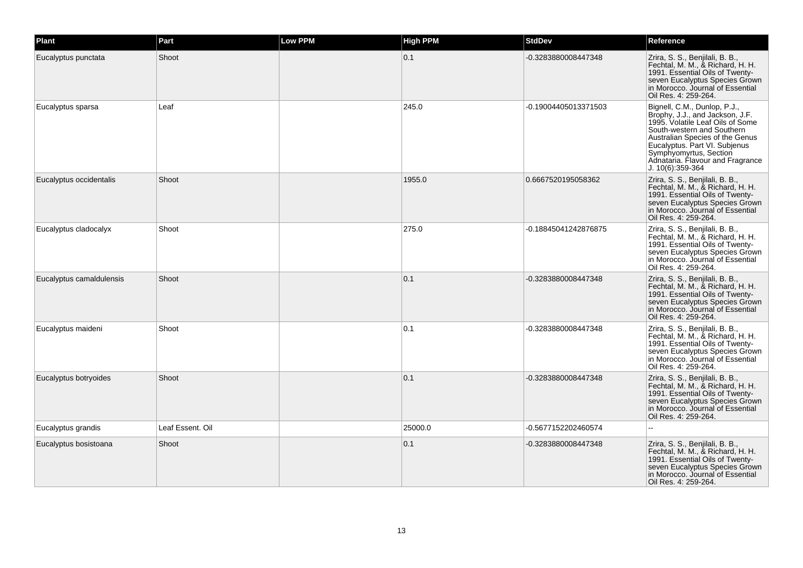| Plant                    | Part             | Low PPM | <b>High PPM</b> | <b>StdDev</b>        | Reference                                                                                                                                                                                                                                                                               |
|--------------------------|------------------|---------|-----------------|----------------------|-----------------------------------------------------------------------------------------------------------------------------------------------------------------------------------------------------------------------------------------------------------------------------------------|
| Eucalyptus punctata      | Shoot            |         | 0.1             | -0.3283880008447348  | Zrira, S. S., Benjilali, B. B.,<br>Fechtal, M. M., & Richard, H. H.<br>1991. Essential Oils of Twenty-<br>seven Eucalyptus Species Grown<br>in Morocco. Journal of Essential<br>Oil Res. 4: 259-264.                                                                                    |
| Eucalyptus sparsa        | Leaf             |         | 245.0           | -0.19004405013371503 | Bignell, C.M., Dunlop, P.J.,<br>Brophy, J.J., and Jackson, J.F.<br>1995. Volatile Leaf Oils of Some<br>South-western and Southern<br>Australian Species of the Genus<br>Eucalyptus. Part VI. Subjenus<br>Symphyomyrtus, Section<br>Adnataria. Flavour and Fragrance<br>J. 10(6):359-364 |
| Eucalyptus occidentalis  | Shoot            |         | 1955.0          | 0.6667520195058362   | Zrira, S. S., Benjilali, B. B.,<br>Fechtal, M. M., & Richard, H. H.<br>1991. Essential Oils of Twenty-<br>seven Eucalyptus Species Grown<br>in Morocco. Journal of Essential<br>Oil Res. 4: 259-264.                                                                                    |
| Eucalyptus cladocalyx    | Shoot            |         | 275.0           | -0.18845041242876875 | Zrira, S. S., Benjilali, B. B.,<br>Fechtal, M. M., & Richard, H. H.<br>1991. Essential Oils of Twenty-<br>seven Eucalyptus Species Grown<br>in Morocco. Journal of Essential<br>Oil Res. 4: 259-264.                                                                                    |
| Eucalyptus camaldulensis | Shoot            |         | 0.1             | -0.3283880008447348  | Zrira, S. S., Benjilali, B. B.,<br>Fechtal, M. M., & Richard, H. H.<br>1991. Essential Oils of Twenty-<br>seven Eucalyptus Species Grown<br>in Morocco. Journal of Essential<br>Oil Res. 4: 259-264.                                                                                    |
| Eucalyptus maideni       | Shoot            |         | 0.1             | -0.3283880008447348  | Zrira, S. S., Benjilali, B. B.,<br>Fechtal, M. M., & Richard, H. H.<br>1991. Essential Oils of Twenty-<br>seven Eucalyptus Species Grown<br>in Morocco. Journal of Essential<br>Oil Res. 4: 259-264.                                                                                    |
| Eucalyptus botryoides    | Shoot            |         | 0.1             | -0.3283880008447348  | Zrira, S. S., Benjilali, B. B.,<br>Fechtal, M. M., & Richard, H. H.<br>1991. Essential Oils of Twenty-<br>seven Eucalyptus Species Grown<br>in Morocco. Journal of Essential<br>Oil Res. 4: 259-264.                                                                                    |
| Eucalyptus grandis       | Leaf Essent. Oil |         | 25000.0         | -0.5677152202460574  |                                                                                                                                                                                                                                                                                         |
| Eucalyptus bosistoana    | Shoot            |         | 0.1             | -0.3283880008447348  | Zrira, S. S., Benjilali, B. B.,<br>Fechtal, M. M., & Richard, H. H.<br>1991. Essential Oils of Twenty-<br>seven Eucalyptus Species Grown<br>in Morocco. Journal of Essential<br>Oil Res. 4: 259-264.                                                                                    |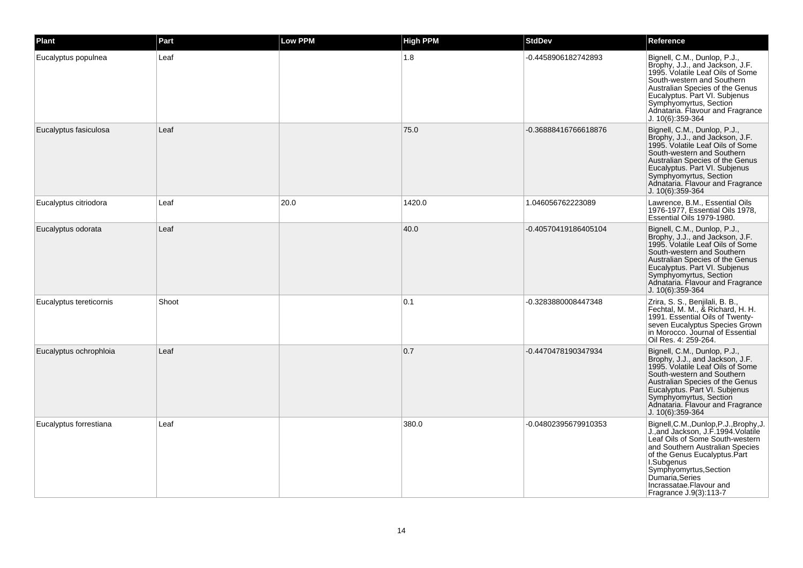| Plant                   | Part  | <b>Low PPM</b> | <b>High PPM</b> | <b>StdDev</b>        | Reference                                                                                                                                                                                                                                                                                             |
|-------------------------|-------|----------------|-----------------|----------------------|-------------------------------------------------------------------------------------------------------------------------------------------------------------------------------------------------------------------------------------------------------------------------------------------------------|
| Eucalyptus populnea     | Leaf  |                | 1.8             | -0.4458906182742893  | Bignell, C.M., Dunlop, P.J.,<br>Brophy, J.J., and Jackson, J.F.<br>1995. Volatile Leaf Oils of Some<br>South-western and Southern<br>Australian Species of the Genus<br>Eucalyptus. Part VI. Subjenus<br>Symphyomyrtus, Section<br>Adnataria. Flavour and Fragrance<br>J. 10(6):359-364               |
| Eucalyptus fasiculosa   | Leaf  |                | 75.0            | -0.36888416766618876 | Bignell, C.M., Dunlop, P.J.,<br>Brophy, J.J., and Jackson, J.F.<br>1995. Volatile Leaf Oils of Some<br>South-western and Southern<br>Australian Species of the Genus<br>Eucalyptus. Part VI. Subjenus<br>Symphyomyrtus, Section<br>Adnataria. Flavour and Fragrance<br>J. 10(6):359-364               |
| Eucalyptus citriodora   | Leaf  | 20.0           | 1420.0          | 1.046056762223089    | Lawrence, B.M., Essential Oils<br>1976-1977, Essential Oils 1978,<br>Essential Oils 1979-1980.                                                                                                                                                                                                        |
| Eucalyptus odorata      | Leaf  |                | 40.0            | -0.40570419186405104 | Bignell, C.M., Dunlop, P.J.,<br>Brophy, J.J., and Jackson, J.F.<br>1995. Volatile Leaf Oils of Some<br>South-western and Southern<br>Australian Species of the Genus<br>Eucalyptus. Part VI. Subjenus<br>Symphyomyrtus, Section<br>Adnataria. Flavour and Fragrance<br>J. 10(6):359-364               |
| Eucalyptus tereticornis | Shoot |                | 0.1             | -0.3283880008447348  | Zrira, S. S., Benjilali, B. B.,<br>Fechtal, M. M., & Richard, H. H.<br>1991. Essential Oils of Twenty-<br>seven Eucalyptus Species Grown<br>in Morocco. Journal of Essential<br>Oil Res. 4: 259-264.                                                                                                  |
| Eucalyptus ochrophloia  | Leaf  |                | 0.7             | -0.4470478190347934  | Bignell, C.M., Dunlop, P.J.,<br>Brophy, J.J., and Jackson, J.F.<br>1995. Volatile Leaf Oils of Some<br>South-western and Southern<br>Australian Species of the Genus<br>Eucalyptus. Part VI. Subjenus<br>Symphyomyrtus, Section<br>Adnataria. Flavour and Fragrance<br>J. 10(6):359-364               |
| Eucalyptus forrestiana  | Leaf  |                | 380.0           | -0.04802395679910353 | Bignell, C.M., Dunlop, P.J., Brophy, J.<br>J., and Jackson, J.F. 1994. Volatile<br>Leaf Oils of Some South-western<br>and Southern Australian Species<br>of the Genus Eucalyptus.Part<br>I.Subgenus<br>Symphyomyrtus, Section<br>Dumaria, Series<br>Incrassatae.Flavour and<br>Fragrance J.9(3):113-7 |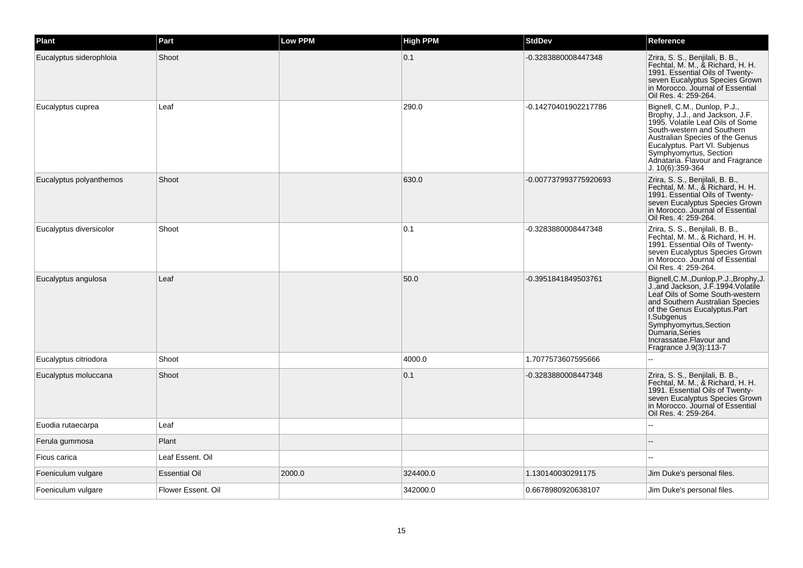| Plant                   | Part                 | Low PPM | <b>High PPM</b> | <b>StdDev</b>         | Reference                                                                                                                                                                                                                                                                                            |
|-------------------------|----------------------|---------|-----------------|-----------------------|------------------------------------------------------------------------------------------------------------------------------------------------------------------------------------------------------------------------------------------------------------------------------------------------------|
| Eucalyptus siderophloia | Shoot                |         | 0.1             | -0.3283880008447348   | Zrira, S. S., Benjilali, B. B.,<br>Fechtal, M. M., & Richard, H. H.<br>1991. Essential Oils of Twenty-<br>seven Eucalyptus Species Grown<br>in Morocco. Journal of Essential<br>Oil Res. 4: 259-264.                                                                                                 |
| Eucalyptus cuprea       | Leaf                 |         | 290.0           | -0.14270401902217786  | Bignell, C.M., Dunlop, P.J.,<br>Brophy, J.J., and Jackson, J.F.<br>1995. Volatile Leaf Oils of Some<br>South-western and Southern<br>Australian Species of the Genus<br>Eucalyptus. Part VI. Subjenus<br>Symphyomyrtus, Section<br>Adnataria. Flavour and Fragrance<br>J. 10(6):359-364              |
| Eucalyptus polyanthemos | Shoot                |         | 630.0           | -0.007737993775920693 | Zrira, S. S., Benjilali, B. B.,<br>Fechtal, M. M., & Richard, H. H.<br>1991. Essential Oils of Twenty-<br>seven Eucalyptus Species Grown<br>in Morocco. Journal of Essential<br>Oil Res. 4: 259-264.                                                                                                 |
| Eucalyptus diversicolor | Shoot                |         | 0.1             | -0.3283880008447348   | Zrira, S. S., Benjilali, B. B.,<br>Fechtal, M. M., & Richard, H. H.<br>1991. Essential Oils of Twenty-<br>seven Eucalyptus Species Grown<br>in Morocco. Journal of Essential<br>Oil Res. 4: 259-264.                                                                                                 |
| Eucalyptus angulosa     | Leaf                 |         | 50.0            | -0.3951841849503761   | Bignell, C.M., Dunlop, P.J., Brophy, J.<br>J., and Jackson, J.F. 1994. Volatile<br>Leaf Oils of Some South-western<br>and Southern Australian Species<br>of the Genus Eucalyptus.Part<br>I.Subgenus<br>Symphyomyrtus, Section<br>Dumaría Series<br>Incrassatae.Flavour and<br>Fragrance J.9(3):113-7 |
| Eucalyptus citriodora   | Shoot                |         | 4000.0          | 1.7077573607595666    | $\overline{a}$                                                                                                                                                                                                                                                                                       |
| Eucalyptus moluccana    | Shoot                |         | 0.1             | -0.3283880008447348   | Zrira, S. S., Benjilali, B. B.,<br>Fechtal, M. M., & Richard, H. H.<br>1991. Essential Oils of Twenty-<br>seven Eucalyptus Species Grown<br>in Morocco. Journal of Essential<br>Oil Res. 4: 259-264.                                                                                                 |
| Euodia rutaecarpa       | Leaf                 |         |                 |                       |                                                                                                                                                                                                                                                                                                      |
| Ferula gummosa          | Plant                |         |                 |                       |                                                                                                                                                                                                                                                                                                      |
| Ficus carica            | Leaf Essent. Oil     |         |                 |                       |                                                                                                                                                                                                                                                                                                      |
| Foeniculum vulgare      | <b>Essential Oil</b> | 2000.0  | 324400.0        | 1.130140030291175     | Jim Duke's personal files.                                                                                                                                                                                                                                                                           |
| Foeniculum vulgare      | Flower Essent, Oil   |         | 342000.0        | 0.6678980920638107    | Jim Duke's personal files.                                                                                                                                                                                                                                                                           |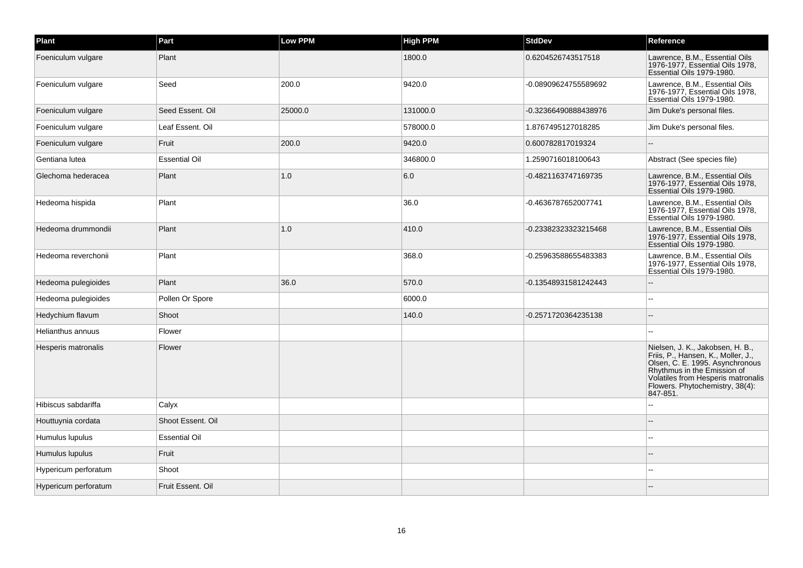| Plant                | Part                 | Low PPM | <b>High PPM</b> | <b>StdDev</b>        | Reference                                                                                                                                                                                                                     |
|----------------------|----------------------|---------|-----------------|----------------------|-------------------------------------------------------------------------------------------------------------------------------------------------------------------------------------------------------------------------------|
| Foeniculum vulgare   | Plant                |         | 1800.0          | 0.6204526743517518   | Lawrence, B.M., Essential Oils<br>1976-1977, Essential Oils 1978,<br>Essential Oils 1979-1980.                                                                                                                                |
| Foeniculum vulgare   | Seed                 | 200.0   | 9420.0          | -0.08909624755589692 | Lawrence, B.M., Essential Oils<br>1976-1977, Essential Oils 1978,<br>Essential Oils 1979-1980.                                                                                                                                |
| Foeniculum vulgare   | Seed Essent, Oil     | 25000.0 | 131000.0        | -0.32366490888438976 | Jim Duke's personal files.                                                                                                                                                                                                    |
| Foeniculum vulgare   | Leaf Essent. Oil     |         | 578000.0        | 1.8767495127018285   | Jim Duke's personal files.                                                                                                                                                                                                    |
| Foeniculum vulgare   | Fruit                | 200.0   | 9420.0          | 0.600782817019324    |                                                                                                                                                                                                                               |
| Gentiana lutea       | <b>Essential Oil</b> |         | 346800.0        | 1.2590716018100643   | Abstract (See species file)                                                                                                                                                                                                   |
| Glechoma hederacea   | Plant                | 1.0     | 6.0             | -0.4821163747169735  | Lawrence, B.M., Essential Oils<br>1976-1977, Essential Oils 1978,<br>Essential Oils 1979-1980.                                                                                                                                |
| Hedeoma hispida      | Plant                |         | 36.0            | -0.4636787652007741  | Lawrence, B.M., Essential Oils<br>1976-1977, Essential Oils 1978,<br>Essential Oils 1979-1980.                                                                                                                                |
| Hedeoma drummondii   | Plant                | 1.0     | 410.0           | -0.23382323323215468 | Lawrence, B.M., Essential Oils<br>1976-1977, Essential Oils 1978,<br>Essential Oils 1979-1980.                                                                                                                                |
| Hedeoma reverchonii  | Plant                |         | 368.0           | -0.25963588655483383 | Lawrence, B.M., Essential Oils<br>1976-1977, Essential Oils 1978,<br>Essential Oils 1979-1980.                                                                                                                                |
| Hedeoma pulegioides  | Plant                | 36.0    | 570.0           | -0.13548931581242443 |                                                                                                                                                                                                                               |
| Hedeoma pulegioides  | Pollen Or Spore      |         | 6000.0          |                      |                                                                                                                                                                                                                               |
| Hedychium flavum     | Shoot                |         | 140.0           | -0.2571720364235138  |                                                                                                                                                                                                                               |
| Helianthus annuus    | Flower               |         |                 |                      |                                                                                                                                                                                                                               |
| Hesperis matronalis  | Flower               |         |                 |                      | Nielsen, J. K., Jakobsen, H. B.,<br>Friis, P., Hansen, K., Moller, J.,<br>Olsen, C. E. 1995. Asynchronous<br>Rhythmus in the Emission of<br>Volatiles from Hesperis matronalis<br>Flowers. Phytochemistry, 38(4):<br>847-851. |
| Hibiscus sabdariffa  | Calyx                |         |                 |                      |                                                                                                                                                                                                                               |
| Houttuynia cordata   | Shoot Essent. Oil    |         |                 |                      |                                                                                                                                                                                                                               |
| Humulus lupulus      | <b>Essential Oil</b> |         |                 |                      |                                                                                                                                                                                                                               |
| Humulus lupulus      | Fruit                |         |                 |                      |                                                                                                                                                                                                                               |
| Hypericum perforatum | Shoot                |         |                 |                      |                                                                                                                                                                                                                               |
| Hypericum perforatum | Fruit Essent. Oil    |         |                 |                      |                                                                                                                                                                                                                               |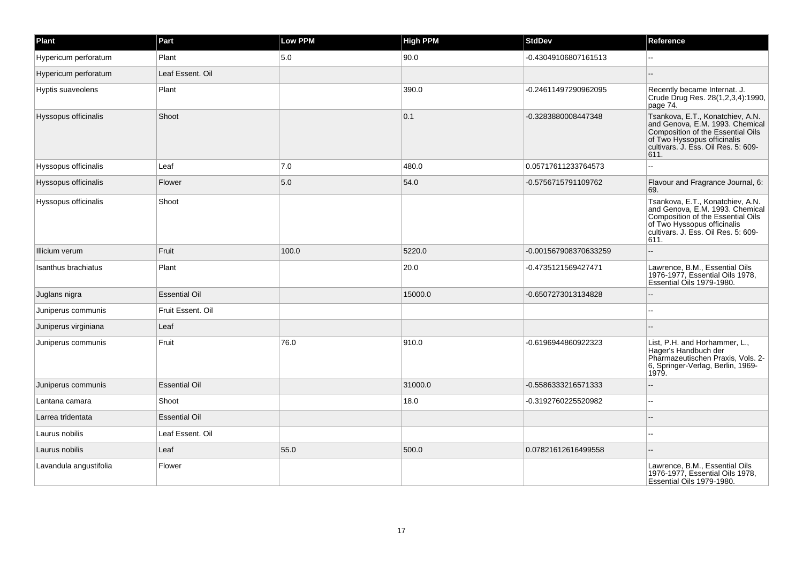| Plant                  | Part                 | <b>Low PPM</b> | <b>High PPM</b> | <b>StdDev</b>         | Reference                                                                                                                                                                              |
|------------------------|----------------------|----------------|-----------------|-----------------------|----------------------------------------------------------------------------------------------------------------------------------------------------------------------------------------|
| Hypericum perforatum   | Plant                | 5.0            | 90.0            | -0.43049106807161513  |                                                                                                                                                                                        |
| Hypericum perforatum   | Leaf Essent. Oil     |                |                 |                       |                                                                                                                                                                                        |
| Hyptis suaveolens      | Plant                |                | 390.0           | -0.24611497290962095  | Recently became Internat. J.<br>Crude Drug Res. 28(1,2,3,4):1990,<br>page 74.                                                                                                          |
| Hyssopus officinalis   | Shoot                |                | 0.1             | -0.3283880008447348   | Tsankova, E.T., Konatchiev, A.N.<br>and Genova, E.M. 1993. Chemical<br>Composition of the Essential Oils<br>of Two Hyssopus officinalis<br>cultivars. J. Ess. Oil Res. 5: 609-<br>611. |
| Hyssopus officinalis   | Leaf                 | 7.0            | 480.0           | 0.05717611233764573   |                                                                                                                                                                                        |
| Hyssopus officinalis   | Flower               | 5.0            | 54.0            | -0.5756715791109762   | Flavour and Fragrance Journal, 6:<br>69.                                                                                                                                               |
| Hyssopus officinalis   | Shoot                |                |                 |                       | Tsankova, E.T., Konatchiev, A.N.<br>and Genova, E.M. 1993. Chemical<br>Composition of the Essential Oils<br>of Two Hyssopus officinalis<br>cultivars. J. Ess. Oil Res. 5: 609-<br>611. |
| Illicium verum         | Fruit                | 100.0          | 5220.0          | -0.001567908370633259 |                                                                                                                                                                                        |
| Isanthus brachiatus    | Plant                |                | 20.0            | -0.4735121569427471   | Lawrence, B.M., Essential Oils<br>1976-1977, Essential Oils 1978,<br>Essential Oils 1979-1980.                                                                                         |
| Juglans nigra          | <b>Essential Oil</b> |                | 15000.0         | -0.6507273013134828   |                                                                                                                                                                                        |
| Juniperus communis     | Fruit Essent. Oil    |                |                 |                       |                                                                                                                                                                                        |
| Juniperus virginiana   | Leaf                 |                |                 |                       |                                                                                                                                                                                        |
| Juniperus communis     | Fruit                | 76.0           | 910.0           | -0.6196944860922323   | List, P.H. and Horhammer, L.,<br>Hager's Handbuch der<br>Pharmazeutischen Praxis, Vols. 2-<br>6, Springer-Verlag, Berlin, 1969-<br>1979.                                               |
| Juniperus communis     | <b>Essential Oil</b> |                | 31000.0         | -0.5586333216571333   |                                                                                                                                                                                        |
| Lantana camara         | Shoot                |                | 18.0            | -0.3192760225520982   | $-$                                                                                                                                                                                    |
| Larrea tridentata      | <b>Essential Oil</b> |                |                 |                       |                                                                                                                                                                                        |
| Laurus nobilis         | Leaf Essent. Oil     |                |                 |                       | --                                                                                                                                                                                     |
| Laurus nobilis         | Leaf                 | 55.0           | 500.0           | 0.07821612616499558   |                                                                                                                                                                                        |
| Lavandula angustifolia | Flower               |                |                 |                       | Lawrence, B.M., Essential Oils<br>1976-1977, Essential Oils 1978,<br>Essential Oils 1979-1980.                                                                                         |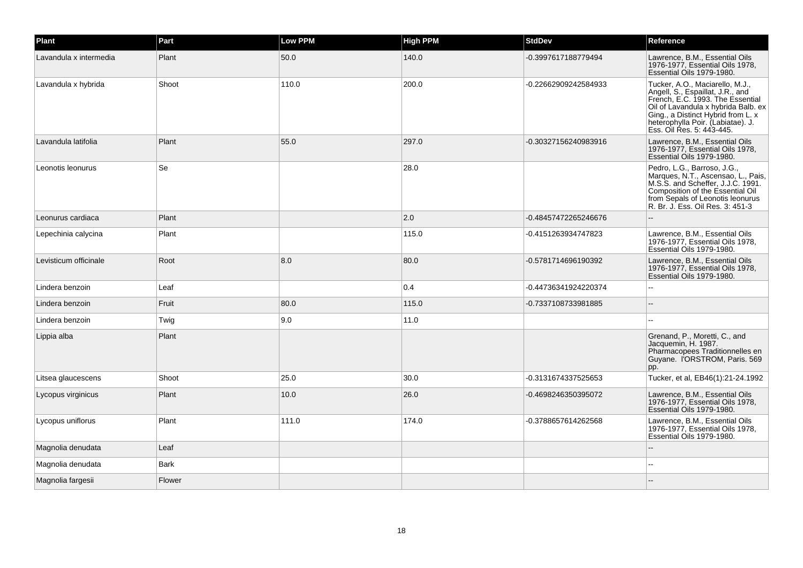| Plant                  | Part        | Low PPM | <b>High PPM</b> | <b>StdDev</b>        | Reference                                                                                                                                                                                                                                              |
|------------------------|-------------|---------|-----------------|----------------------|--------------------------------------------------------------------------------------------------------------------------------------------------------------------------------------------------------------------------------------------------------|
| Lavandula x intermedia | Plant       | 50.0    | 140.0           | -0.3997617188779494  | Lawrence, B.M., Essential Oils<br>1976-1977, Essential Oils 1978,<br>Essential Oils 1979-1980.                                                                                                                                                         |
| Lavandula x hybrida    | Shoot       | 110.0   | 200.0           | -0.22662909242584933 | Tucker, A.O., Maciarello, M.J.,<br>Angell, S., Espaillat, J.R., and<br>French, E.C. 1993. The Essential<br>Oil of Lavandula x hybrida Balb. ex<br>Ging., a Distinct Hybrid from L. x<br>heterophylla Poir. (Labiatae). J.<br>Ess. Oil Res. 5: 443-445. |
| Lavandula latifolia    | Plant       | 55.0    | 297.0           | -0.30327156240983916 | Lawrence, B.M., Essential Oils<br>1976-1977, Essential Oils 1978,<br>Essential Oils 1979-1980.                                                                                                                                                         |
| Leonotis leonurus      | Se          |         | 28.0            |                      | Pedro, L.G., Barroso, J.G.,<br>Marques, N.T., Ascensao, L., Pais,<br>M.S.S. and Scheffer, J.J.C. 1991.<br>Composition of the Essential Oil<br>from Sepals of Leonotis leonurus<br>R. Br. J. Ess. Oil Res. 3: 451-3                                     |
| Leonurus cardiaca      | Plant       |         | 2.0             | -0.48457472265246676 |                                                                                                                                                                                                                                                        |
| Lepechinia calycina    | Plant       |         | 115.0           | -0.4151263934747823  | Lawrence, B.M., Essential Oils<br>1976-1977. Essential Oils 1978.<br>Essential Oils 1979-1980.                                                                                                                                                         |
| Levisticum officinale  | Root        | 8.0     | 80.0            | -0.5781714696190392  | Lawrence, B.M., Essential Oils<br>1976-1977, Essential Oils 1978,<br>Essential Oils 1979-1980.                                                                                                                                                         |
| Lindera benzoin        | Leaf        |         | 0.4             | -0.44736341924220374 |                                                                                                                                                                                                                                                        |
| Lindera benzoin        | Fruit       | 80.0    | 115.0           | -0.7337108733981885  |                                                                                                                                                                                                                                                        |
| Lindera benzoin        | Twig        | 9.0     | 11.0            |                      |                                                                                                                                                                                                                                                        |
| Lippia alba            | Plant       |         |                 |                      | Grenand, P., Moretti, C., and<br>Jacquemin, H. 1987.<br>Pharmacopees Traditionnelles en<br>Guyane. I'ORSTROM, Paris. 569<br>pp.                                                                                                                        |
| Litsea glaucescens     | Shoot       | 25.0    | 30.0            | -0.3131674337525653  | Tucker, et al, EB46(1):21-24.1992                                                                                                                                                                                                                      |
| Lycopus virginicus     | Plant       | 10.0    | 26.0            | -0.4698246350395072  | Lawrence, B.M., Essential Oils<br>1976-1977, Essential Oils 1978,<br>Essential Oils 1979-1980.                                                                                                                                                         |
| Lycopus uniflorus      | Plant       | 111.0   | 174.0           | -0.3788657614262568  | Lawrence, B.M., Essential Oils<br>1976-1977, Essential Oils 1978,<br>Essential Oils 1979-1980.                                                                                                                                                         |
| Magnolia denudata      | Leaf        |         |                 |                      |                                                                                                                                                                                                                                                        |
| Magnolia denudata      | <b>Bark</b> |         |                 |                      |                                                                                                                                                                                                                                                        |
| Magnolia fargesii      | Flower      |         |                 |                      |                                                                                                                                                                                                                                                        |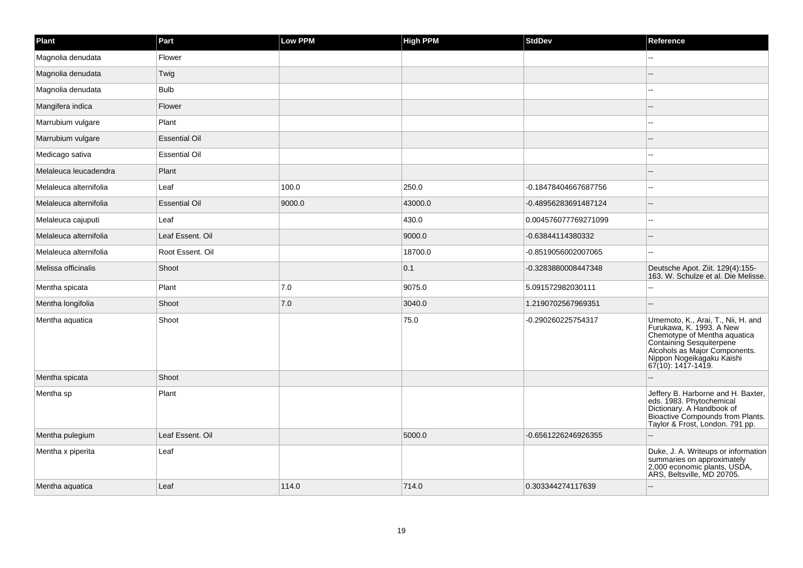| Plant                  | Part                 | <b>Low PPM</b> | <b>High PPM</b> | <b>StdDev</b>        | Reference                                                                                                                                                                                                      |
|------------------------|----------------------|----------------|-----------------|----------------------|----------------------------------------------------------------------------------------------------------------------------------------------------------------------------------------------------------------|
| Magnolia denudata      | Flower               |                |                 |                      |                                                                                                                                                                                                                |
| Magnolia denudata      | Twig                 |                |                 |                      |                                                                                                                                                                                                                |
| Magnolia denudata      | <b>Bulb</b>          |                |                 |                      |                                                                                                                                                                                                                |
| Mangifera indica       | Flower               |                |                 |                      |                                                                                                                                                                                                                |
| Marrubium vulgare      | Plant                |                |                 |                      |                                                                                                                                                                                                                |
| Marrubium vulgare      | <b>Essential Oil</b> |                |                 |                      |                                                                                                                                                                                                                |
| Medicago sativa        | <b>Essential Oil</b> |                |                 |                      |                                                                                                                                                                                                                |
| Melaleuca leucadendra  | Plant                |                |                 |                      |                                                                                                                                                                                                                |
| Melaleuca alternifolia | Leaf                 | 100.0          | 250.0           | -0.18478404667687756 |                                                                                                                                                                                                                |
| Melaleuca alternifolia | <b>Essential Oil</b> | 9000.0         | 43000.0         | -0.48956283691487124 |                                                                                                                                                                                                                |
| Melaleuca cajuputi     | Leaf                 |                | 430.0           | 0.004576077769271099 | $\sim$                                                                                                                                                                                                         |
| Melaleuca alternifolia | Leaf Essent. Oil     |                | 9000.0          | -0.63844114380332    |                                                                                                                                                                                                                |
| Melaleuca alternifolia | Root Essent. Oil     |                | 18700.0         | -0.8519056002007065  |                                                                                                                                                                                                                |
| Melissa officinalis    | Shoot                |                | 0.1             | -0.3283880008447348  | Deutsche Apot. Ziit. 129(4):155-<br>163. W. Schulze et al. Die Melisse.                                                                                                                                        |
| Mentha spicata         | Plant                | 7.0            | 9075.0          | 5.091572982030111    |                                                                                                                                                                                                                |
| Mentha longifolia      | Shoot                | 7.0            | 3040.0          | 1.2190702567969351   |                                                                                                                                                                                                                |
| Mentha aquatica        | Shoot                |                | 75.0            | -0.290260225754317   | Umemoto, K., Arai, T., Nii, H. and<br>Furukawa, K. 1993. A New<br>Chemotype of Mentha aquatica<br>Containing Sesquiterpene<br>Alcohols as Major Components.<br>Nippon Nogeikagaku Kaishi<br>67(10): 1417-1419. |
| Mentha spicata         | Shoot                |                |                 |                      |                                                                                                                                                                                                                |
| Mentha sp              | Plant                |                |                 |                      | Jeffery B. Harborne and H. Baxter,<br>eds. 1983. Phytochemical<br>Dictionary. A Handbook of<br>Bioactive Compounds from Plants.<br>Taylor & Frost, London. 791 pp.                                             |
| Mentha pulegium        | Leaf Essent. Oil     |                | 5000.0          | -0.6561226246926355  |                                                                                                                                                                                                                |
| Mentha x piperita      | Leaf                 |                |                 |                      | Duke, J. A. Writeups or information<br>summaries on approximately<br>2,000 economic plants, USDA,<br>ARS, Beltsville, MD 20705.                                                                                |
| Mentha aquatica        | Leaf                 | 114.0          | 714.0           | 0.303344274117639    |                                                                                                                                                                                                                |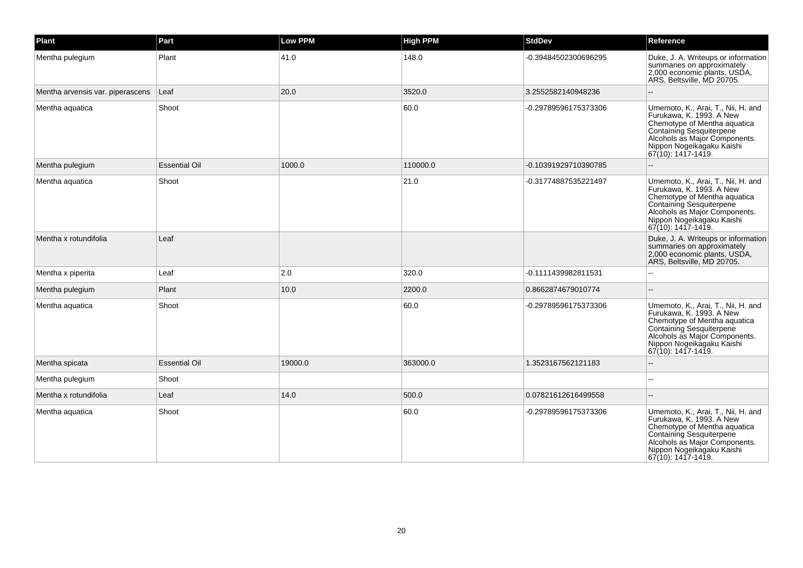| Plant                            | Part                 | <b>Low PPM</b> | <b>High PPM</b> | <b>StdDev</b>        | Reference                                                                                                                                                                                                           |
|----------------------------------|----------------------|----------------|-----------------|----------------------|---------------------------------------------------------------------------------------------------------------------------------------------------------------------------------------------------------------------|
| Mentha pulegium                  | Plant                | 41.0           | 148.0           | -0.39484502300696295 | Duke, J. A. Writeups or information<br>summaries on approximately<br>2,000 economic plants, USDA,<br>ARS, Beltsville, MD 20705.                                                                                     |
| Mentha arvensis var. piperascens | Leaf                 | 20.0           | 3520.0          | 3.2552582140948236   | $\overline{\phantom{a}}$                                                                                                                                                                                            |
| Mentha aquatica                  | Shoot                |                | 60.0            | -0.29789596175373306 | Umemoto, K., Arai, T., Nii, H. and<br>Furukawa, K. 1993, A New<br>Chemotype of Mentha aquatica<br>Containing Sesquiterpene<br>Alcohols as Major Components.<br>Nippon Nogeikagaku Kaishi<br>$ 67(10): 1417 - 1419.$ |
| Mentha pulegium                  | <b>Essential Oil</b> | 1000.0         | 110000.0        | -0.10391929710390785 |                                                                                                                                                                                                                     |
| Mentha aquatica                  | Shoot                |                | 21.0            | -0.31774887535221497 | Umemoto, K., Arai, T., Nii, H. and<br>Furukawa, K. 1993. A New<br>Chemotype of Mentha aquatica<br>Containing Sesquiterpene<br>Alcohols as Major Components.<br>Nippon Nogeikagaku Kaishi<br>67(10): 1417-1419.      |
| Mentha x rotundifolia            | Leaf                 |                |                 |                      | Duke, J. A. Writeups or information<br>summaries on approximately<br>2,000 economic plants, USDA,<br>ARS, Beltsville, MD 20705.                                                                                     |
| Mentha x piperita                | Leaf                 | 2.0            | 320.0           | -0.1111439982811531  |                                                                                                                                                                                                                     |
| Mentha pulegium                  | Plant                | 10.0           | 2200.0          | 0.8662874679010774   | $\overline{a}$                                                                                                                                                                                                      |
| Mentha aquatica                  | Shoot                |                | 60.0            | -0.29789596175373306 | Umemoto, K., Arai, T., Nii, H. and<br>Furukawa, K. 1993. A New<br>Chemotype of Mentha aquatica<br>Containing Sesquiterpene<br>Alcohols as Major Components.<br>Nippon Nogeikagaku Kaishi<br>67(10): 1417-1419.      |
| Mentha spicata                   | <b>Essential Oil</b> | 19000.0        | 363000.0        | 1.3523167562121183   | L.                                                                                                                                                                                                                  |
| Mentha pulegium                  | Shoot                |                |                 |                      |                                                                                                                                                                                                                     |
| Mentha x rotundifolia            | Leaf                 | 14.0           | 500.0           | 0.07821612616499558  |                                                                                                                                                                                                                     |
| Mentha aquatica                  | Shoot                |                | 60.0            | -0.29789596175373306 | Umemoto, K., Arai, T., Nii, H. and<br>Furukawa, K. 1993. A New<br>Chemotype of Mentha aquatica<br>Containing Sesquiterpene<br>Alcohols as Major Components.<br>Nippon Nogeikagaku Kaishi<br>67(10): 1417-1419.      |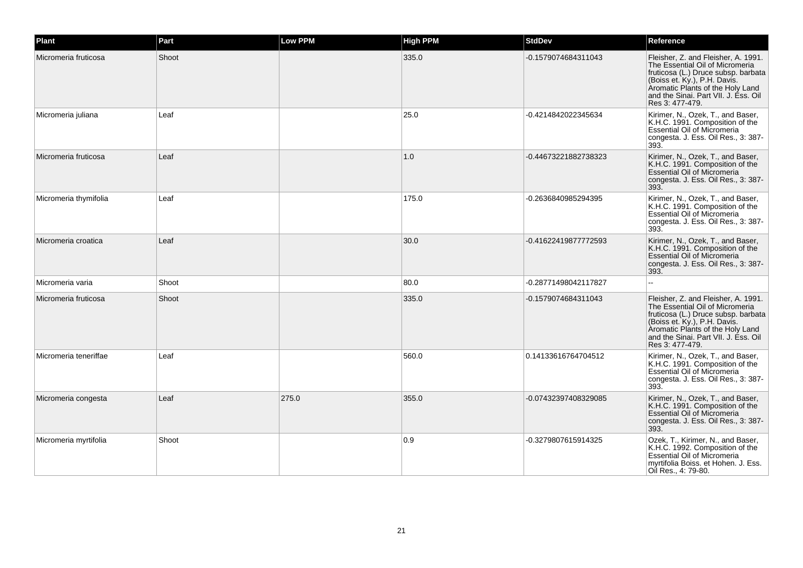| <b>Plant</b>          | Part  | Low PPM | <b>High PPM</b> | <b>StdDev</b>        | Reference                                                                                                                                                                                                                                    |
|-----------------------|-------|---------|-----------------|----------------------|----------------------------------------------------------------------------------------------------------------------------------------------------------------------------------------------------------------------------------------------|
| Micromeria fruticosa  | Shoot |         | 335.0           | -0.1579074684311043  | Fleisher, Z. and Fleisher, A. 1991.<br>The Essential Oil of Micromeria<br>fruticosa (L.) Druce subsp. barbata<br>(Boiss et. Ky.), P.H. Davis.<br>Aromatic Plants of the Holy Land<br>and the Sinai. Part VII. J. Ess. Oil<br>Res 3: 477-479. |
| Micromeria juliana    | Leaf  |         | 25.0            | -0.4214842022345634  | Kirimer, N., Ozek, T., and Baser,<br>K.H.C. 1991. Composition of the<br>Essential Oil of Micromeria<br>congesta. J. Ess. Oil Res., 3: 387-<br>393.                                                                                           |
| Micromeria fruticosa  | Leaf  |         | 1.0             | -0.44673221882738323 | Kirimer, N., Ozek, T., and Baser,<br>K.H.C. 1991. Composition of the<br>Essential Oil of Micromeria<br>congesta. J. Ess. Oil Res., 3: 387-<br>393.                                                                                           |
| Micromeria thymifolia | Leaf  |         | 175.0           | -0.2636840985294395  | Kirimer, N., Ozek, T., and Baser,<br>K.H.C. 1991. Composition of the<br>Essential Oil of Micromeria<br>congesta. J. Ess. Oil Res., 3: 387-<br>393.                                                                                           |
| Micromeria croatica   | Leaf  |         | 30.0            | -0.41622419877772593 | Kirimer, N., Ozek, T., and Baser,<br>K.H.C. 1991. Composition of the<br>Essential Oil of Micromeria<br>congesta. J. Ess. Oil Res., 3: 387-<br>393.                                                                                           |
| Micromeria varia      | Shoot |         | 80.0            | -0.28771498042117827 | ш.                                                                                                                                                                                                                                           |
| Micromeria fruticosa  | Shoot |         | 335.0           | -0.1579074684311043  | Fleisher, Z. and Fleisher, A. 1991.<br>The Essential Oil of Micromeria<br>fruticosa (L.) Druce subsp. barbata<br>(Boiss et. Ky.), P.H. Davis.<br>Aromatic Plants of the Holy Land<br>and the Sinai. Part VII. J. Ess. Oil<br>Res 3: 477-479. |
| Micromeria teneriffae | Leaf  |         | 560.0           | 0.14133616764704512  | Kirimer, N., Ozek, T., and Baser,<br>K.H.C. 1991. Composition of the<br>Essential Oil of Micromeria<br>congesta. J. Ess. Oil Res., 3: 387-<br>393.                                                                                           |
| Micromeria congesta   | Leaf  | 275.0   | 355.0           | -0.07432397408329085 | Kirimer, N., Ozek, T., and Baser,<br>K.H.C. 1991. Composition of the<br>Essential Oil of Micromeria<br>congesta. J. Ess. Oil Res., 3: 387-<br>393.                                                                                           |
| Micromeria myrtifolia | Shoot |         | 0.9             | -0.3279807615914325  | Ozek, T., Kirimer, N., and Baser,<br>K.H.C. 1992. Composition of the<br>Essential Oil of Micromeria<br>myrtifolia Boiss. et Hohen. J. Ess.<br>Oil Res., 4: 79-80.                                                                            |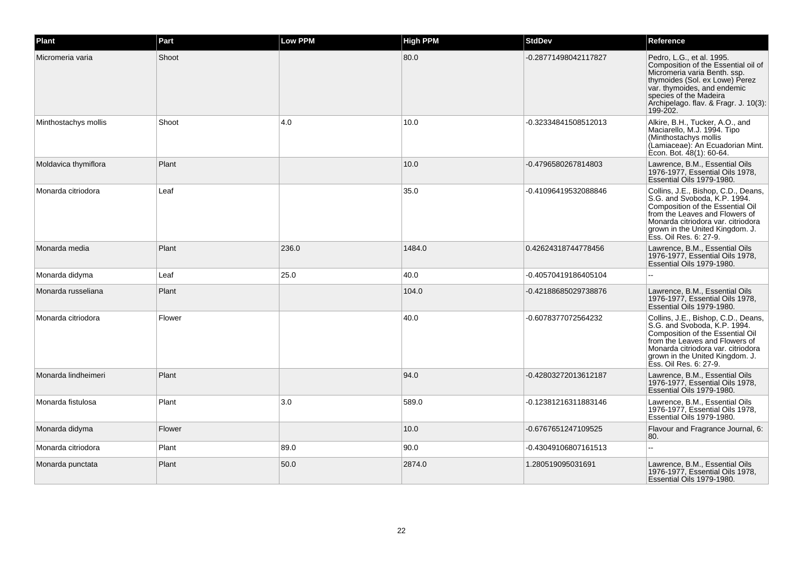| Plant                | Part   | <b>Low PPM</b> | <b>High PPM</b> | <b>StdDev</b>        | Reference                                                                                                                                                                                                                                        |
|----------------------|--------|----------------|-----------------|----------------------|--------------------------------------------------------------------------------------------------------------------------------------------------------------------------------------------------------------------------------------------------|
| Micromeria varia     | Shoot  |                | 80.0            | -0.28771498042117827 | Pedro, L.G., et al. 1995.<br>Composition of the Essential oil of<br>Micromeria varia Benth. ssp.<br>thymoides (Sol. ex Lowe) Perez<br>var. thymoides, and endemic<br>species of the Madeira<br>Archipelago. flav. & Fragr. J. 10(3):<br>199-202. |
| Minthostachys mollis | Shoot  | 4.0            | 10.0            | -0.32334841508512013 | Alkire, B.H., Tucker, A.O., and<br>Maciarello, M.J. 1994. Tipo<br>(Minthostachys mollis<br>(Lamiaceae): An Ecuadorian Mint.<br>Econ. Bot. 48(1): 60-64.                                                                                          |
| Moldavica thymiflora | Plant  |                | 10.0            | -0.4796580267814803  | Lawrence, B.M., Essential Oils<br>1976-1977, Essential Oils 1978,<br>Essential Oils 1979-1980.                                                                                                                                                   |
| Monarda citriodora   | Leaf   |                | 35.0            | -0.41096419532088846 | Collins, J.E., Bishop, C.D., Deans,<br>S.G. and Svoboda, K.P. 1994.<br>Composition of the Essential Oil<br>from the Leaves and Flowers of<br>Monarda citriodora var. citriodora<br>grown in the United Kingdom. J.<br>Ess. Oil Res. 6: 27-9.     |
| Monarda media        | Plant  | 236.0          | 1484.0          | 0.42624318744778456  | Lawrence, B.M., Essential Oils<br>1976-1977, Essential Oils 1978,<br>Essential Oils 1979-1980.                                                                                                                                                   |
| Monarda didyma       | Leaf   | 25.0           | 40.0            | -0.40570419186405104 | --                                                                                                                                                                                                                                               |
| Monarda russeliana   | Plant  |                | 104.0           | -0.42188685029738876 | Lawrence, B.M., Essential Oils<br>1976-1977, Essential Oils 1978,<br>Essential Oils 1979-1980.                                                                                                                                                   |
| Monarda citriodora   | Flower |                | 40.0            | -0.6078377072564232  | Collins, J.E., Bishop, C.D., Deans,<br>S.G. and Svoboda, K.P. 1994.<br>Composition of the Essential Oil<br>from the Leaves and Flowers of<br>Monarda citriodora var. citriodora<br>grown in the United Kingdom. J.<br>Ess. Oil Res. 6: 27-9.     |
| Monarda lindheimeri  | Plant  |                | 94.0            | -0.42803272013612187 | Lawrence, B.M., Essential Oils<br>1976-1977, Essential Oils 1978,<br>Essential Oils 1979-1980.                                                                                                                                                   |
| Monarda fistulosa    | Plant  | 3.0            | 589.0           | -0.12381216311883146 | Lawrence, B.M., Essential Oils<br>1976-1977, Essential Oils 1978,<br>Essential Oils 1979-1980.                                                                                                                                                   |
| Monarda didyma       | Flower |                | 10.0            | -0.6767651247109525  | Flavour and Fragrance Journal, 6:<br>80.                                                                                                                                                                                                         |
| Monarda citriodora   | Plant  | 89.0           | 90.0            | -0.43049106807161513 |                                                                                                                                                                                                                                                  |
| Monarda punctata     | Plant  | 50.0           | 2874.0          | 1.280519095031691    | Lawrence, B.M., Essential Oils<br>1976-1977, Essential Oils 1978,<br>Essential Oils 1979-1980.                                                                                                                                                   |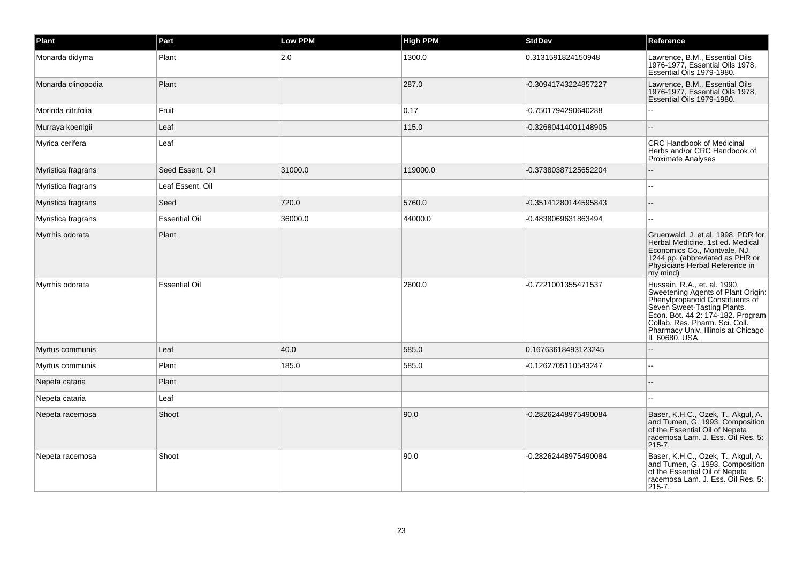| Plant              | Part                 | <b>Low PPM</b> | <b>High PPM</b> | <b>StdDev</b>        | Reference                                                                                                                                                                                                                                                           |
|--------------------|----------------------|----------------|-----------------|----------------------|---------------------------------------------------------------------------------------------------------------------------------------------------------------------------------------------------------------------------------------------------------------------|
| Monarda didyma     | Plant                | 2.0            | 1300.0          | 0.3131591824150948   | Lawrence, B.M., Essential Oils<br>1976-1977, Essential Oils 1978,<br>Essential Oils 1979-1980.                                                                                                                                                                      |
| Monarda clinopodia | Plant                |                | 287.0           | -0.30941743224857227 | Lawrence, B.M., Essential Oils<br>1976-1977, Essential Oils 1978,<br>Essential Oils 1979-1980.                                                                                                                                                                      |
| Morinda citrifolia | Fruit                |                | 0.17            | -0.7501794290640288  |                                                                                                                                                                                                                                                                     |
| Murraya koenigii   | Leaf                 |                | 115.0           | -0.32680414001148905 |                                                                                                                                                                                                                                                                     |
| Myrica cerifera    | Leaf                 |                |                 |                      | <b>CRC Handbook of Medicinal</b><br>Herbs and/or CRC Handbook of<br>Proximate Analyses                                                                                                                                                                              |
| Myristica fragrans | Seed Essent, Oil     | 31000.0        | 119000.0        | -0.37380387125652204 |                                                                                                                                                                                                                                                                     |
| Myristica fragrans | Leaf Essent. Oil     |                |                 |                      | ÷.                                                                                                                                                                                                                                                                  |
| Myristica fragrans | Seed                 | 720.0          | 5760.0          | -0.35141280144595843 |                                                                                                                                                                                                                                                                     |
| Myristica fragrans | <b>Essential Oil</b> | 36000.0        | 44000.0         | -0.4838069631863494  | ۵.                                                                                                                                                                                                                                                                  |
| Myrrhis odorata    | Plant                |                |                 |                      | Gruenwald, J. et al. 1998. PDR for<br>Herbal Medicine. 1st ed. Medical<br>Economics Co., Montvale, NJ.<br>1244 pp. (abbreviated as PHR or<br>Physicians Herbal Reference in<br>$my$ mind)                                                                           |
| Myrrhis odorata    | <b>Essential Oil</b> |                | 2600.0          | -0.7221001355471537  | Hussain, R.A., et. al. 1990.<br>Sweetening Agents of Plant Origin:<br>Phenylpropanoid Constituents of<br>Seven Sweet-Tasting Plants.<br>Econ. Bot. 44 2: 174-182. Program<br>Collab. Res. Pharm. Sci. Coll.<br>Pharmacy Univ. Illinois at Chicago<br>IL 60680, USA. |
| Myrtus communis    | Leaf                 | 40.0           | 585.0           | 0.16763618493123245  |                                                                                                                                                                                                                                                                     |
| Myrtus communis    | Plant                | 185.0          | 585.0           | -0.1262705110543247  |                                                                                                                                                                                                                                                                     |
| Nepeta cataria     | Plant                |                |                 |                      |                                                                                                                                                                                                                                                                     |
| Nepeta cataria     | Leaf                 |                |                 |                      | $\overline{a}$                                                                                                                                                                                                                                                      |
| Nepeta racemosa    | Shoot                |                | 90.0            | -0.28262448975490084 | Baser, K.H.C., Ozek, T., Akgul, A.<br>and Tumen, G. 1993. Composition<br>of the Essential Oil of Nepeta<br>racemosa Lam. J. Ess. Oil Res. 5:<br>$215 - 7.$                                                                                                          |
| Nepeta racemosa    | Shoot                |                | 90.0            | -0.28262448975490084 | Baser, K.H.C., Ozek, T., Akgul, A.<br>and Tumen, G. 1993. Composition<br>of the Essential Oil of Nepeta<br>racemosa Lam. J. Ess. Oil Res. 5:<br>$215 - 7.$                                                                                                          |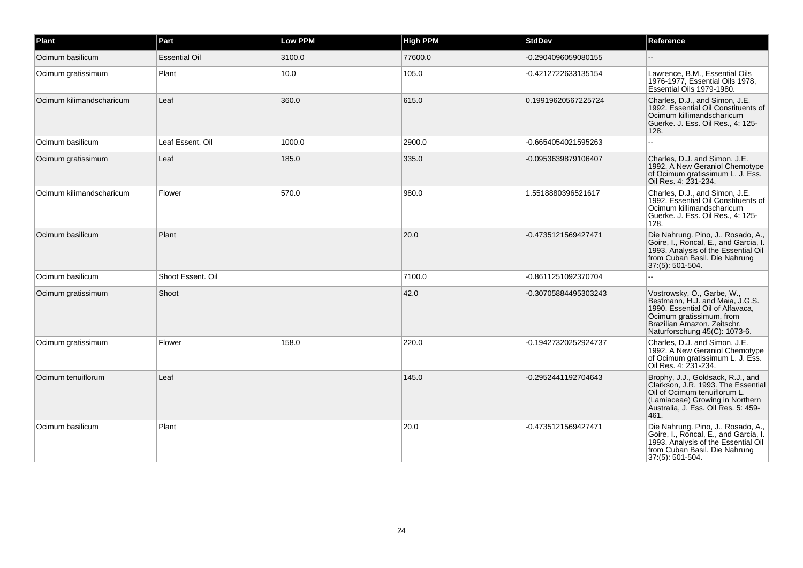| Plant                    | Part                 | <b>Low PPM</b> | <b>High PPM</b> | <b>StdDev</b>        | Reference                                                                                                                                                                                     |
|--------------------------|----------------------|----------------|-----------------|----------------------|-----------------------------------------------------------------------------------------------------------------------------------------------------------------------------------------------|
| Ocimum basilicum         | <b>Essential Oil</b> | 3100.0         | 77600.0         | -0.2904096059080155  |                                                                                                                                                                                               |
| Ocimum gratissimum       | Plant                | 10.0           | 105.0           | -0.4212722633135154  | Lawrence, B.M., Essential Oils<br>1976-1977. Essential Oils 1978.<br>Essential Oils 1979-1980.                                                                                                |
| Ocimum kilimandscharicum | Leaf                 | 360.0          | 615.0           | 0.19919620567225724  | Charles, D.J., and Simon, J.E.<br>1992. Essential Oil Constituents of<br>Ocimum killimandscharicum<br>Guerke. J. Ess. Oil Res., 4: 125-<br>128.                                               |
| Ocimum basilicum         | Leaf Essent. Oil     | 1000.0         | 2900.0          | -0.6654054021595263  | ÷.                                                                                                                                                                                            |
| Ocimum gratissimum       | Leaf                 | 185.0          | 335.0           | -0.0953639879106407  | Charles, D.J. and Simon, J.E.<br>1992. A New Geraniol Chemotype<br>of Ocimum gratissimum L. J. Ess.<br>Oil Res. 4: 231-234.                                                                   |
| Ocimum kilimandscharicum | Flower               | 570.0          | 980.0           | 1.5518880396521617   | Charles, D.J., and Simon, J.E.<br>1992. Essential Oil Constituents of<br>Ocimum killimandscharicum<br>Guerke. J. Ess. Oil Res., 4: 125-<br>128.                                               |
| Ocimum basilicum         | Plant                |                | 20.0            | -0.4735121569427471  | Die Nahrung. Pino, J., Rosado, A.,<br>Goire, I., Roncal, E., and Garcia, I.<br>1993. Analysis of the Essential Oil<br>from Cuban Basil. Die Nahrung<br>37:(5): 501-504.                       |
| Ocimum basilicum         | Shoot Essent. Oil    |                | 7100.0          | -0.8611251092370704  |                                                                                                                                                                                               |
| Ocimum gratissimum       | Shoot                |                | 42.0            | -0.30705884495303243 | Vostrowsky, O., Garbe, W.,<br>Bestmann, H.J. and Maia, J.G.S.<br>1990. Essential Oil of Alfavaca,<br>Ocimum gratissimum, from<br>Brazilian Amazon. Zeitschr.<br>Naturforschung 45(C): 1073-6. |
| Ocimum gratissimum       | Flower               | 158.0          | 220.0           | -0.19427320252924737 | Charles, D.J. and Simon, J.E.<br>1992. A New Geraniol Chemotype<br>of Ocimum gratissimum L. J. Ess.<br>Oil Res. 4: 231-234.                                                                   |
| Ocimum tenuiflorum       | Leaf                 |                | 145.0           | -0.2952441192704643  | Brophy, J.J., Goldsack, R.J., and<br>Clarkson, J.R. 1993. The Essential<br>Oil of Ocimum tenuiflorum L.<br>(Lamiaceae) Growing in Northern<br>Australia, J. Ess. Oil Res. 5: 459-<br>461.     |
| Ocimum basilicum         | Plant                |                | 20.0            | -0.4735121569427471  | Die Nahrung. Pino, J., Rosado, A.,<br>Goire, I., Roncal, E., and Garcia, I.<br>1993. Analysis of the Essential Oil<br>from Cuban Basil. Die Nahrung<br>37:(5): 501-504.                       |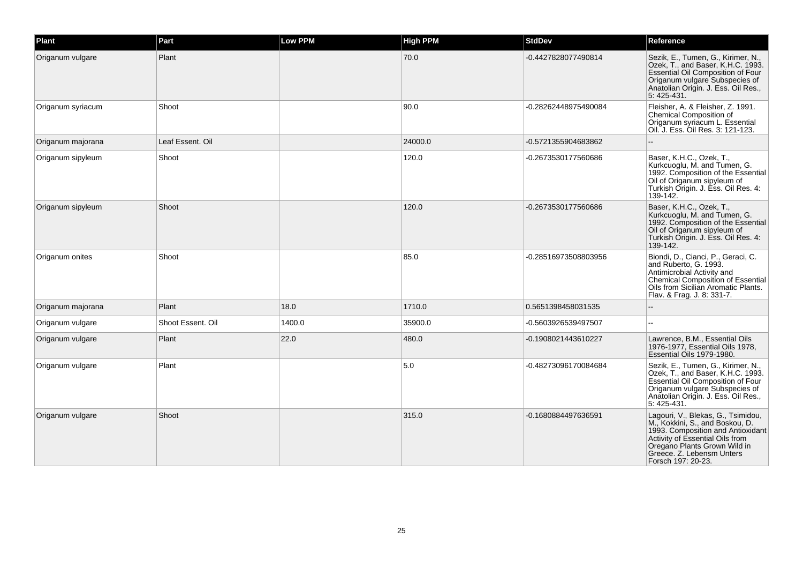| Plant             | Part              | <b>Low PPM</b> | <b>High PPM</b> | <b>StdDev</b>        | Reference                                                                                                                                                                                                                        |
|-------------------|-------------------|----------------|-----------------|----------------------|----------------------------------------------------------------------------------------------------------------------------------------------------------------------------------------------------------------------------------|
| Origanum vulgare  | Plant             |                | 70.0            | -0.4427828077490814  | Sezik, E., Tumen, G., Kirimer, N.,<br>Ozek, T., and Baser, K.H.C. 1993.<br>Essential Oil Composition of Four<br>Origanum vulgare Subspecies of<br>Anatolian Origin. J. Ess. Oil Res.,<br>5:425-431.                              |
| Origanum syriacum | Shoot             |                | 90.0            | -0.28262448975490084 | Fleisher, A. & Fleisher, Z. 1991.<br>Chemical Composition of<br>Origanum syriacum L. Essential<br>Oil. J. Ess. Oil Res. 3: 121-123.                                                                                              |
| Origanum majorana | Leaf Essent. Oil  |                | 24000.0         | -0.5721355904683862  |                                                                                                                                                                                                                                  |
| Origanum sipyleum | Shoot             |                | 120.0           | -0.2673530177560686  | Baser, K.H.C., Ozek, T.,<br>Kurkcuoglu, M. and Tumen, G.<br>1992. Composition of the Essential<br>Oil of Origanum sipyleum of<br>Turkish Origin. J. Ess. Oil Res. 4:<br>139-142.                                                 |
| Origanum sipyleum | Shoot             |                | 120.0           | -0.2673530177560686  | Baser, K.H.C., Ozek, T.,<br>Kurkcuoglu, M. and Tumen, G.<br>1992. Composition of the Essential<br>Oil of Origanum sipyleum of<br>Turkish Origin. J. Ess. Oil Res. 4:<br>139-142.                                                 |
| Origanum onites   | Shoot             |                | 85.0            | -0.28516973508803956 | Biondi, D., Cianci, P., Geraci, C.<br>and Ruberto, G. 1993.<br>Antimicrobial Activity and<br>Chemical Composition of Essential<br>Oils from Sicilian Aromatic Plants.<br>Flav. & Frag. J. 8: 331-7.                              |
| Origanum majorana | Plant             | 18.0           | 1710.0          | 0.5651398458031535   |                                                                                                                                                                                                                                  |
| Origanum vulgare  | Shoot Essent, Oil | 1400.0         | 35900.0         | -0.5603926539497507  | $\overline{a}$                                                                                                                                                                                                                   |
| Origanum vulgare  | Plant             | 22.0           | 480.0           | -0.1908021443610227  | Lawrence, B.M., Essential Oils<br>1976-1977, Essential Oils 1978,<br>Essential Oils 1979-1980.                                                                                                                                   |
| Origanum vulgare  | Plant             |                | 5.0             | -0.48273096170084684 | Sezik, E., Tumen, G., Kirimer, N.,<br>Ozek, T., and Baser, K.H.C. 1993.<br>Essential Oil Composition of Four<br>Origanum vulgare Subspecies of<br>Anatolian Origin. J. Ess. Oil Res.,<br>5:425-431.                              |
| Origanum vulgare  | Shoot             |                | 315.0           | -0.1680884497636591  | Lagouri, V., Blekas, G., Tsimidou,<br>M., Kokkini, S., and Boskou, D.<br>1993. Composition and Antioxidant<br>Activity of Essential Oils from<br>Oregano Plants Grown Wild in<br>Greece. Z. Lebensm Unters<br>Forsch 197: 20-23. |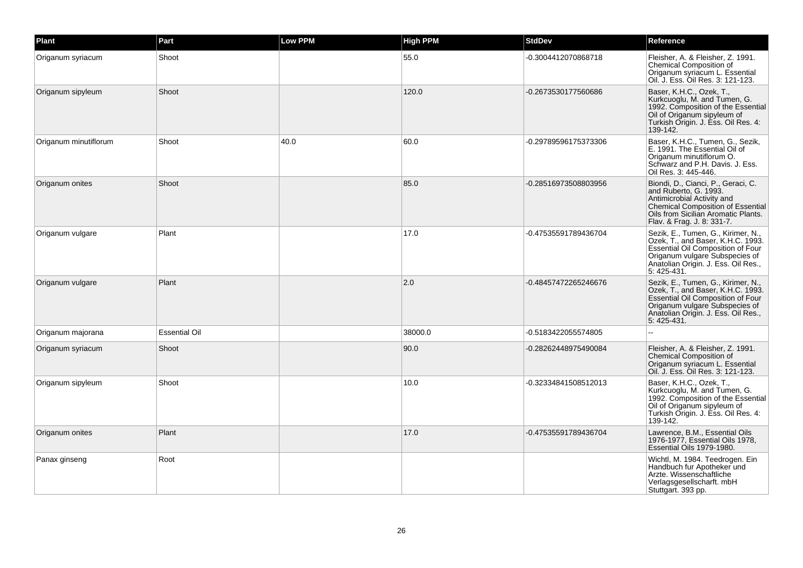| Plant                 | Part                 | Low PPM | <b>High PPM</b> | <b>StdDev</b>        | Reference                                                                                                                                                                                                  |
|-----------------------|----------------------|---------|-----------------|----------------------|------------------------------------------------------------------------------------------------------------------------------------------------------------------------------------------------------------|
| Origanum syriacum     | Shoot                |         | 55.0            | -0.3004412070868718  | Fleisher, A. & Fleisher, Z. 1991.<br><b>Chemical Composition of</b><br>Origanum syriacum L. Essential<br>Oil. J. Ess. Oil Res. 3: 121-123.                                                                 |
| Origanum sipyleum     | Shoot                |         | 120.0           | -0.2673530177560686  | Baser, K.H.C., Ozek, T.,<br>Kurkcuoglu, M. and Tumen, G.<br>1992. Composition of the Essential<br>Oil of Origanum sipyleum of<br>Turkish Origin. J. Ess. Oil Res. 4:<br>139-142.                           |
| Origanum minutiflorum | Shoot                | 40.0    | 60.0            | -0.29789596175373306 | Baser, K.H.C., Tumen, G., Sezik,<br>E. 1991. The Essential Oil of<br>Origanum minutiflorum O.<br>Schwarz and P.H. Davis. J. Ess.<br>Oil Res. 3: 445-446.                                                   |
| Origanum onites       | Shoot                |         | 85.0            | -0.28516973508803956 | Biondi, D., Cianci, P., Geraci, C.<br>and Ruberto, G. 1993.<br>Antimicrobial Activity and<br><b>Chemical Composition of Essential</b><br>Oils from Sicilian Aromatic Plants.<br>Flav. & Frag. J. 8: 331-7. |
| Origanum vulgare      | Plant                |         | 17.0            | -0.47535591789436704 | Sezik, E., Tumen, G., Kirimer, N.,<br>Ozek, T., and Baser, K.H.C. 1993.<br>Essential Oil Composition of Four<br>Origanum vulgare Subspecies of<br>Anatolian Origin. J. Ess. Oil Res.,<br>5:425-431.        |
| Origanum vulgare      | Plant                |         | 2.0             | -0.48457472265246676 | Sezik, E., Tumen, G., Kirimer, N.,<br>Ozek, T., and Baser, K.H.C. 1993.<br>Essential Oil Composition of Four<br>Origanum vulgare Subspecies of<br>Anatolian Origin. J. Ess. Oil Res.,<br>5:425-431.        |
| Origanum majorana     | <b>Essential Oil</b> |         | 38000.0         | -0.5183422055574805  | ż.                                                                                                                                                                                                         |
| Origanum syriacum     | Shoot                |         | 90.0            | -0.28262448975490084 | Fleisher, A. & Fleisher, Z. 1991.<br>Chemical Composition of<br>Origanum syriacum L. Essential<br>Oil. J. Ess. Oil Res. 3: 121-123.                                                                        |
| Origanum sipyleum     | Shoot                |         | 10.0            | -0.32334841508512013 | Baser, K.H.C., Ozek, T.,<br>Kurkcuoglu, M. and Tumen, G.<br>1992. Composition of the Essential<br>Oil of Origanum sipyleum of<br>Turkish Origin. J. Ess. Oil Res. 4:<br>139-142.                           |
| Origanum onites       | Plant                |         | 17.0            | -0.47535591789436704 | Lawrence, B.M., Essential Oils<br>1976-1977, Essential Oils 1978,<br>Essential Oils 1979-1980.                                                                                                             |
| Panax ginseng         | Root                 |         |                 |                      | Wichtl, M. 1984. Teedrogen. Ein<br>Handbuch fur Apotheker und<br>Arzte. Wissenschaftliche<br>Verlagsgesellscharft. mbH<br>Stuttgart. 393 pp.                                                               |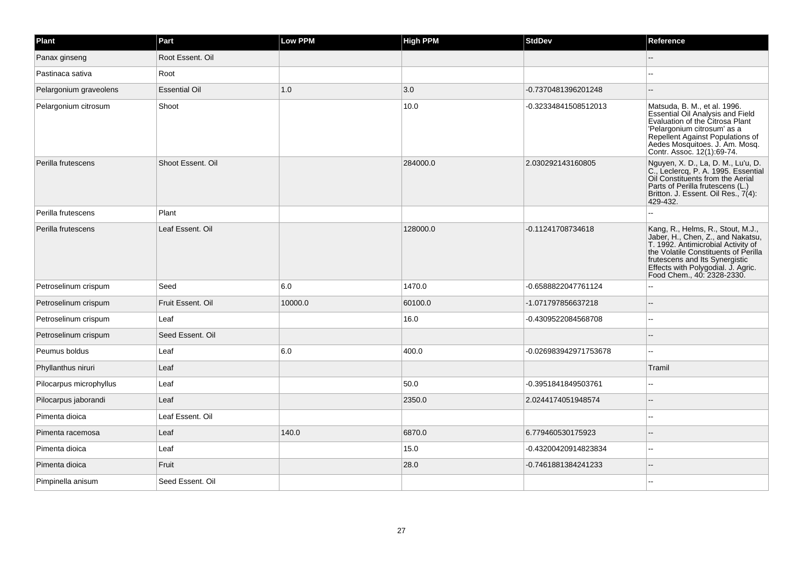| Plant                   | Part                 | Low PPM | <b>High PPM</b> | <b>StdDev</b>         | Reference                                                                                                                                                                                                                                                  |
|-------------------------|----------------------|---------|-----------------|-----------------------|------------------------------------------------------------------------------------------------------------------------------------------------------------------------------------------------------------------------------------------------------------|
| Panax ginseng           | Root Essent, Oil     |         |                 |                       |                                                                                                                                                                                                                                                            |
| Pastinaca sativa        | Root                 |         |                 |                       |                                                                                                                                                                                                                                                            |
| Pelargonium graveolens  | <b>Essential Oil</b> | 1.0     | 3.0             | -0.7370481396201248   |                                                                                                                                                                                                                                                            |
| Pelargonium citrosum    | Shoot                |         | 10.0            | -0.32334841508512013  | Matsuda, B. M., et al. 1996.<br><b>Essential Oil Analysis and Field</b><br>Evaluation of the Citrosa Plant<br>'Pelargonium citrosum' as a<br>Repellent Against Populations of<br>Aedes Mosquitoes. J. Am. Mosq.<br>Contr. Assoc. 12(1):69-74.              |
| Perilla frutescens      | Shoot Essent, Oil    |         | 284000.0        | 2.030292143160805     | Nguyen, X. D., La, D. M., Lu'u, D.<br>C., Leclercq, P. A. 1995. Essential<br>Oil Constituents from the Aerial<br>Parts of Perilla frutescens (L.)<br>Britton. J. Essent. Oil Res., 7(4):<br>429-432.                                                       |
| Perilla frutescens      | Plant                |         |                 |                       |                                                                                                                                                                                                                                                            |
| Perilla frutescens      | Leaf Essent. Oil     |         | 128000.0        | -0.11241708734618     | Kang, R., Helms, R., Stout, M.J.,<br>Jaber, H., Chen, Z., and Nakatsu,<br>T. 1992. Antimicrobial Activity of<br>the Volatile Constituents of Perilla<br>frutescens and Its Synergistic<br>Effects with Polygodial. J. Agric.<br>Food Chem., 40: 2328-2330. |
| Petroselinum crispum    | Seed                 | 6.0     | 1470.0          | -0.6588822047761124   |                                                                                                                                                                                                                                                            |
| Petroselinum crispum    | Fruit Essent, Oil    | 10000.0 | 60100.0         | -1.071797856637218    |                                                                                                                                                                                                                                                            |
| Petroselinum crispum    | Leaf                 |         | 16.0            | -0.4309522084568708   | $\overline{a}$                                                                                                                                                                                                                                             |
| Petroselinum crispum    | Seed Essent, Oil     |         |                 |                       |                                                                                                                                                                                                                                                            |
| Peumus boldus           | Leaf                 | 6.0     | 400.0           | -0.026983942971753678 | $\overline{a}$                                                                                                                                                                                                                                             |
| Phyllanthus niruri      | Leaf                 |         |                 |                       | Tramil                                                                                                                                                                                                                                                     |
| Pilocarpus microphyllus | Leaf                 |         | 50.0            | -0.3951841849503761   |                                                                                                                                                                                                                                                            |
| Pilocarpus jaborandi    | Leaf                 |         | 2350.0          | 2.0244174051948574    |                                                                                                                                                                                                                                                            |
| Pimenta dioica          | Leaf Essent. Oil     |         |                 |                       |                                                                                                                                                                                                                                                            |
| Pimenta racemosa        | Leaf                 | 140.0   | 6870.0          | 6.779460530175923     |                                                                                                                                                                                                                                                            |
| Pimenta dioica          | Leaf                 |         | 15.0            | -0.43200420914823834  |                                                                                                                                                                                                                                                            |
| Pimenta dioica          | Fruit                |         | 28.0            | -0.7461881384241233   |                                                                                                                                                                                                                                                            |
| Pimpinella anisum       | Seed Essent, Oil     |         |                 |                       |                                                                                                                                                                                                                                                            |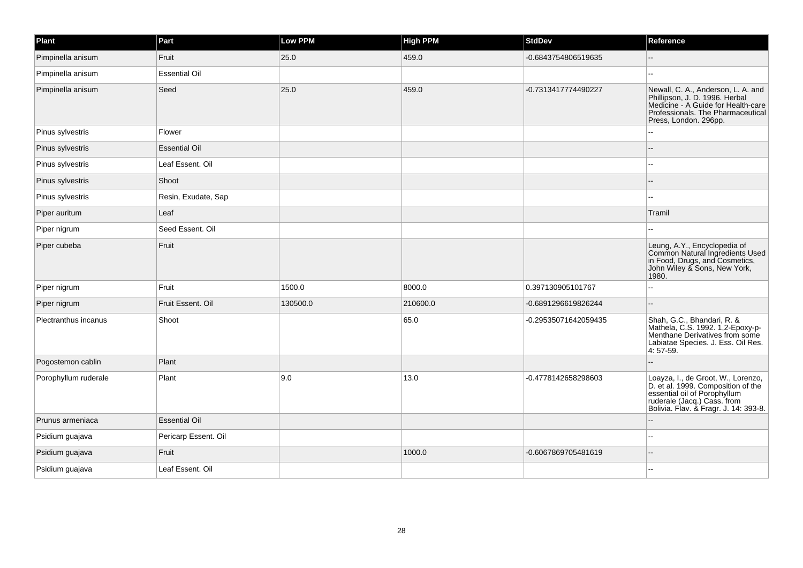| Plant                | Part                 | <b>Low PPM</b> | <b>High PPM</b> | <b>StdDev</b>        | Reference                                                                                                                                                                        |
|----------------------|----------------------|----------------|-----------------|----------------------|----------------------------------------------------------------------------------------------------------------------------------------------------------------------------------|
| Pimpinella anisum    | Fruit                | 25.0           | 459.0           | -0.6843754806519635  |                                                                                                                                                                                  |
| Pimpinella anisum    | <b>Essential Oil</b> |                |                 |                      |                                                                                                                                                                                  |
| Pimpinella anisum    | Seed                 | 25.0           | 459.0           | -0.7313417774490227  | Newall, C. A., Anderson, L. A. and<br>Phillipson, J. D. 1996. Herbal<br>Medicine - A Guide for Health-care<br>Professionals. The Pharmaceutical<br>Press, London. 296pp.         |
| Pinus sylvestris     | Flower               |                |                 |                      |                                                                                                                                                                                  |
| Pinus sylvestris     | <b>Essential Oil</b> |                |                 |                      |                                                                                                                                                                                  |
| Pinus sylvestris     | Leaf Essent. Oil     |                |                 |                      |                                                                                                                                                                                  |
| Pinus sylvestris     | Shoot                |                |                 |                      |                                                                                                                                                                                  |
| Pinus sylvestris     | Resin, Exudate, Sap  |                |                 |                      | $\overline{a}$                                                                                                                                                                   |
| Piper auritum        | Leaf                 |                |                 |                      | Tramil                                                                                                                                                                           |
| Piper nigrum         | Seed Essent, Oil     |                |                 |                      |                                                                                                                                                                                  |
| Piper cubeba         | Fruit                |                |                 |                      | Leung, A.Y., Encyclopedia of<br>Common Natural Ingredients Used<br>in Food, Drugs, and Cosmetics,<br>John Wiley & Sons, New York,<br>1980.                                       |
| Piper nigrum         | Fruit                | 1500.0         | 8000.0          | 0.397130905101767    |                                                                                                                                                                                  |
| Piper nigrum         | Fruit Essent. Oil    | 130500.0       | 210600.0        | -0.6891296619826244  |                                                                                                                                                                                  |
| Plectranthus incanus | Shoot                |                | 65.0            | -0.29535071642059435 | Shah, G.C., Bhandari, R. &<br>Mathela, C.S. 1992. 1,2-Epoxy-p-<br>Menthane Derivatives from some<br>Labiatae Species. J. Ess. Oil Res.<br>4:57-59.                               |
| Pogostemon cablin    | Plant                |                |                 |                      |                                                                                                                                                                                  |
| Porophyllum ruderale | Plant                | 9.0            | 13.0            | -0.4778142658298603  | Loayza, I., de Groot, W., Lorenzo,<br>D. et al. 1999. Composition of the<br>essential oil of Porophyllum<br>ruderale (Jacq.) Cass. from<br>Bolivia. Flav. & Fragr. J. 14: 393-8. |
| Prunus armeniaca     | <b>Essential Oil</b> |                |                 |                      |                                                                                                                                                                                  |
| Psidium guajava      | Pericarp Essent. Oil |                |                 |                      |                                                                                                                                                                                  |
| Psidium guajava      | Fruit                |                | 1000.0          | -0.6067869705481619  |                                                                                                                                                                                  |
| Psidium guajava      | Leaf Essent. Oil     |                |                 |                      |                                                                                                                                                                                  |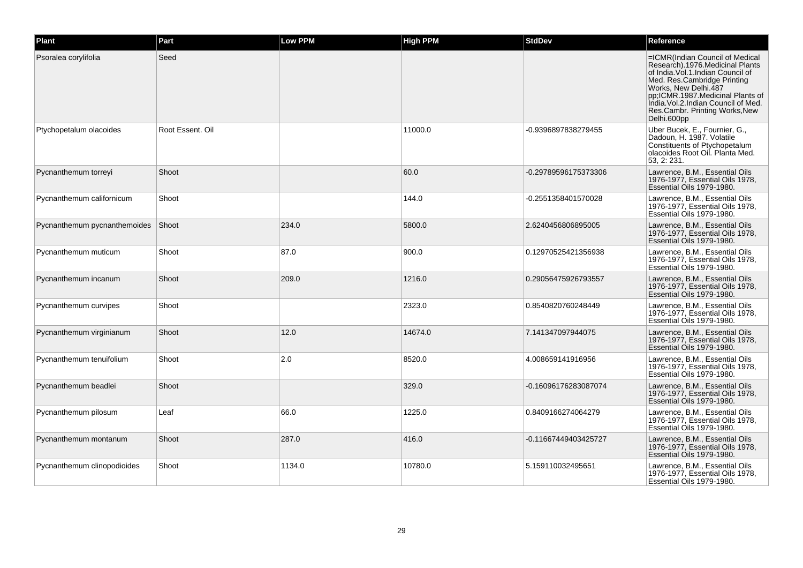| Plant                        | Part             | Low PPM | <b>High PPM</b> | StdDev               | Reference                                                                                                                                                                                                                                                                                      |
|------------------------------|------------------|---------|-----------------|----------------------|------------------------------------------------------------------------------------------------------------------------------------------------------------------------------------------------------------------------------------------------------------------------------------------------|
| Psoralea corylifolia         | Seed             |         |                 |                      | =ICMR(Indian Council of Medical<br>Research).1976.Medicinal Plants<br>of India. Vol. 1. Indian Council of<br>Med. Res.Cambridge Printing<br>Works. New Delhi.487<br>pp:ICMR.1987.Medicinal Plants of<br>India. Vol. 2. Indian Council of Med.<br>Res.Cambr. Printing Works, New<br>Delhi.600pp |
| Ptychopetalum olacoides      | Root Essent, Oil |         | 11000.0         | -0.9396897838279455  | Uber Bucek, E., Fournier, G.,<br>Dadoun, H. 1987. Volatile<br>Constituents of Ptychopetalum<br>olacoides Root Oil. Planta Med.<br>53, 2: 231.                                                                                                                                                  |
| Pycnanthemum torreyi         | Shoot            |         | 60.0            | -0.29789596175373306 | Lawrence, B.M., Essential Oils<br>1976-1977. Essential Oils 1978.<br>Essential Oils 1979-1980.                                                                                                                                                                                                 |
| Pycnanthemum californicum    | Shoot            |         | 144.0           | -0.2551358401570028  | Lawrence, B.M., Essential Oils<br>1976-1977, Essential Oils 1978,<br>Essential Oils 1979-1980.                                                                                                                                                                                                 |
| Pycnanthemum pycnanthemoides | Shoot            | 234.0   | 5800.0          | 2.6240456806895005   | Lawrence, B.M., Essential Oils<br>1976-1977, Essential Oils 1978,<br>Essential Oils 1979-1980.                                                                                                                                                                                                 |
| Pycnanthemum muticum         | Shoot            | 87.0    | 900.0           | 0.12970525421356938  | Lawrence, B.M., Essential Oils<br>1976-1977. Essential Oils 1978.<br>Essential Oils 1979-1980.                                                                                                                                                                                                 |
| Pycnanthemum incanum         | Shoot            | 209.0   | 1216.0          | 0.29056475926793557  | Lawrence, B.M., Essential Oils<br>1976-1977, Essential Oils 1978,<br>Essential Oils 1979-1980.                                                                                                                                                                                                 |
| Pycnanthemum curvipes        | Shoot            |         | 2323.0          | 0.8540820760248449   | Lawrence, B.M., Essential Oils<br>1976-1977. Essential Oils 1978.<br>Essential Oils 1979-1980.                                                                                                                                                                                                 |
| Pycnanthemum virginianum     | Shoot            | 12.0    | 14674.0         | 7.141347097944075    | Lawrence, B.M., Essential Oils<br>1976-1977, Essential Oils 1978,<br>Essential Oils 1979-1980.                                                                                                                                                                                                 |
| Pycnanthemum tenuifolium     | Shoot            | 2.0     | 8520.0          | 4.008659141916956    | Lawrence, B.M., Essential Oils<br>1976-1977, Essential Oils 1978,<br>Essential Oils 1979-1980.                                                                                                                                                                                                 |
| Pycnanthemum beadlei         | Shoot            |         | 329.0           | -0.16096176283087074 | Lawrence, B.M., Essential Oils<br>1976-1977, Essential Oils 1978,<br>Essential Oils 1979-1980.                                                                                                                                                                                                 |
| Pycnanthemum pilosum         | Leaf             | 66.0    | 1225.0          | 0.8409166274064279   | Lawrence, B.M., Essential Oils<br>1976-1977, Essential Oils 1978,<br>Essential Oils 1979-1980.                                                                                                                                                                                                 |
| Pycnanthemum montanum        | Shoot            | 287.0   | 416.0           | -0.11667449403425727 | Lawrence, B.M., Essential Oils<br>1976-1977. Essential Oils 1978.<br>Essential Oils 1979-1980.                                                                                                                                                                                                 |
| Pycnanthemum clinopodioides  | Shoot            | 1134.0  | 10780.0         | 5.159110032495651    | Lawrence, B.M., Essential Oils<br>1976-1977, Essential Oils 1978,<br>Essential Oils 1979-1980.                                                                                                                                                                                                 |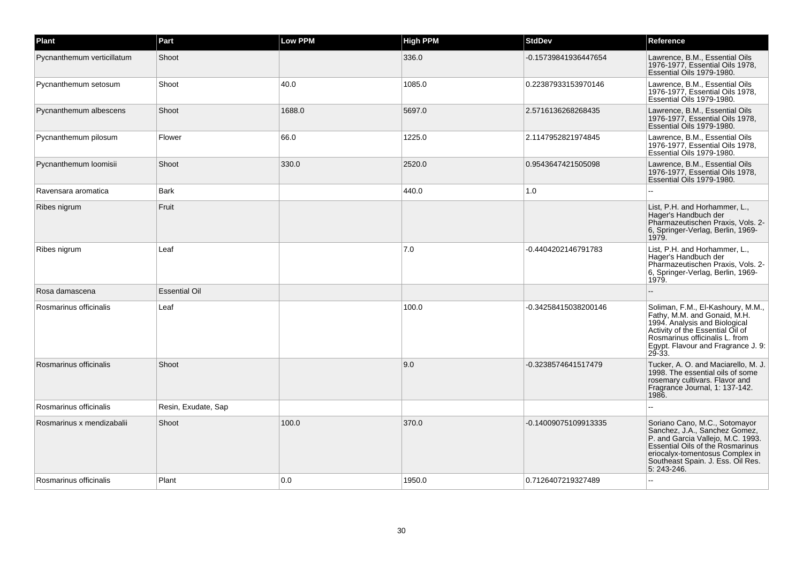| Plant                      | Part                 | Low PPM | <b>High PPM</b> | <b>StdDev</b>        | Reference                                                                                                                                                                                                                      |
|----------------------------|----------------------|---------|-----------------|----------------------|--------------------------------------------------------------------------------------------------------------------------------------------------------------------------------------------------------------------------------|
| Pycnanthemum verticillatum | Shoot                |         | 336.0           | -0.15739841936447654 | Lawrence, B.M., Essential Oils<br>1976-1977, Essential Oils 1978,<br>Essential Oils 1979-1980.                                                                                                                                 |
| Pycnanthemum setosum       | Shoot                | 40.0    | 1085.0          | 0.22387933153970146  | Lawrence, B.M., Essential Oils<br>1976-1977, Essential Oils 1978,<br>Essential Oils 1979-1980.                                                                                                                                 |
| Pycnanthemum albescens     | Shoot                | 1688.0  | 5697.0          | 2.5716136268268435   | Lawrence, B.M., Essential Oils<br>1976-1977. Essential Oils 1978.<br>Essential Oils 1979-1980.                                                                                                                                 |
| Pycnanthemum pilosum       | Flower               | 66.0    | 1225.0          | 2.1147952821974845   | Lawrence, B.M., Essential Oils<br>1976-1977, Essential Oils 1978,<br>Essential Oils 1979-1980.                                                                                                                                 |
| Pycnanthemum loomisii      | Shoot                | 330.0   | 2520.0          | 0.9543647421505098   | Lawrence, B.M., Essential Oils<br>1976-1977, Essential Oils 1978,<br>Essential Oils 1979-1980.                                                                                                                                 |
| Ravensara aromatica        | <b>Bark</b>          |         | 440.0           | 1.0                  |                                                                                                                                                                                                                                |
| Ribes nigrum               | Fruit                |         |                 |                      | List, P.H. and Horhammer, L.,<br>Hager's Handbuch der<br>Pharmazeutischen Praxis, Vols. 2-<br>6, Springer-Verlag, Berlin, 1969-<br>1979.                                                                                       |
| Ribes nigrum               | Leaf                 |         | 7.0             | -0.4404202146791783  | List, P.H. and Horhammer, L.,<br>Hager's Handbuch der<br>Pharmazeutischen Praxis, Vols. 2-<br>6, Springer-Verlag, Berlin, 1969-<br>1979.                                                                                       |
| Rosa damascena             | <b>Essential Oil</b> |         |                 |                      |                                                                                                                                                                                                                                |
| Rosmarinus officinalis     | Leaf                 |         | 100.0           | -0.34258415038200146 | Soliman, F.M., El-Kashoury, M.M.,<br>Fathy, M.M. and Gonaid, M.H.<br>1994. Analysis and Biological<br>Activity of the Essential Oil of<br>Rosmarinus officinalis L. from<br>Egypt. Flavour and Fragrance J. 9:<br>$29 - 33.$   |
| Rosmarinus officinalis     | Shoot                |         | 9.0             | -0.3238574641517479  | Tucker, A. O. and Maciarello, M. J.<br>1998. The essential oils of some<br>rosemary cultivars. Flavor and<br>Fragrance Journal, 1: 137-142.<br>1986.                                                                           |
| Rosmarinus officinalis     | Resin, Exudate, Sap  |         |                 |                      |                                                                                                                                                                                                                                |
| Rosmarinus x mendizabalii  | Shoot                | 100.0   | 370.0           | -0.14009075109913335 | Soriano Cano, M.C., Sotomayor<br>Sanchez, J.A., Sanchez Gomez,<br>P. and Garcia Vallejo, M.C. 1993.<br>Essential Oils of the Rosmarinus<br>eriocalyx-tomentosus Complex in<br>Southeast Spain. J. Ess. Oil Res.<br>5: 243-246. |
| Rosmarinus officinalis     | Plant                | 0.0     | 1950.0          | 0.7126407219327489   |                                                                                                                                                                                                                                |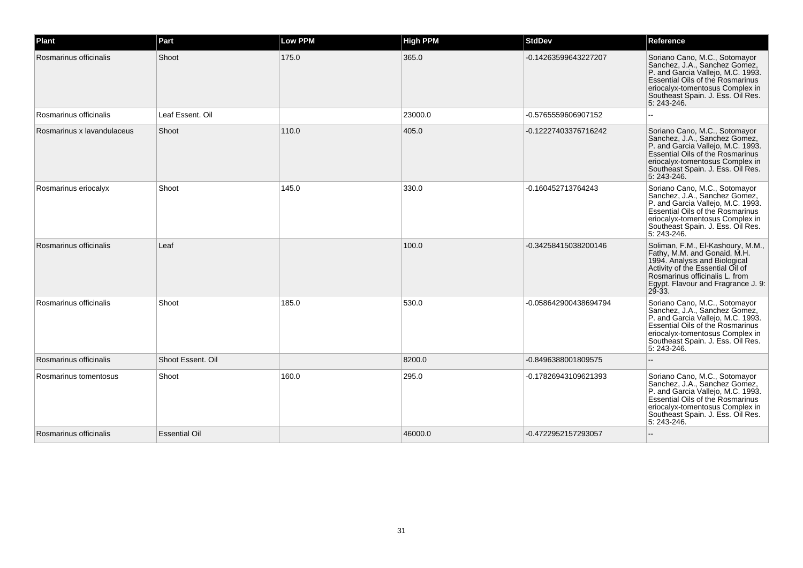| Plant                      | Part                 | <b>Low PPM</b> | <b>High PPM</b> | <b>StdDev</b>         | Reference                                                                                                                                                                                                                             |
|----------------------------|----------------------|----------------|-----------------|-----------------------|---------------------------------------------------------------------------------------------------------------------------------------------------------------------------------------------------------------------------------------|
| Rosmarinus officinalis     | Shoot                | 175.0          | 365.0           | -0.14263599643227207  | Soriano Cano, M.C., Sotomayor<br>Sanchez, J.A., Sanchez Gomez,<br>P. and Garcia Vallejo, M.C. 1993.<br>Essential Oils of the Rosmarinus<br>eriocalyx-tomentosus Complex in<br>Southeast Spain. J. Ess. Oil Res.<br>5: 243-246.        |
| Rosmarinus officinalis     | Leaf Essent. Oil     |                | 23000.0         | -0.5765559606907152   |                                                                                                                                                                                                                                       |
| Rosmarinus x lavandulaceus | Shoot                | 110.0          | 405.0           | -0.12227403376716242  | Soriano Cano, M.C., Sotomayor<br>Sanchez, J.A., Sanchez Gomez,<br>P. and Garcia Vallejo, M.C. 1993.<br>Essential Oils of the Rosmarinus<br>eriocalyx-tomentosus Complex in<br>Southeast Spain. J. Ess. Oil Res.<br>5: 243-246.        |
| Rosmarinus eriocalyx       | Shoot                | 145.0          | 330.0           | -0.160452713764243    | Soriano Cano, M.C., Sotomayor<br>Sanchez, J.A., Sanchez Gomez,<br>P. and Garcia Vallejo, M.C. 1993.<br>Essential Oils of the Rosmarinus<br>eriocalyx-tomentosus Complex in<br>Southeast Spain. J. Ess. Oil Res.<br>5: 243-246.        |
| Rosmarinus officinalis     | Leaf                 |                | 100.0           | -0.34258415038200146  | Soliman, F.M., El-Kashoury, M.M.,<br>Fathy, M.M. and Gonaid, M.H.<br>1994. Analysis and Biological<br>Activity of the Essential Oil of<br>Rosmarinus officinalis L. from<br>Egypt. Flavour and Fragrance J. 9:<br>$29 - 33$ .         |
| Rosmarinus officinalis     | Shoot                | 185.0          | 530.0           | -0.058642900438694794 | Soriano Cano, M.C., Sotomayor<br>Sanchez, J.A., Sanchez Gomez,<br>P. and Garcia Vallejo, M.C. 1993.<br><b>Essential Oils of the Rosmarinus</b><br>eriocalyx-tomentosus Complex in<br>Southeast Spain. J. Ess. Oil Res.<br>5: 243-246. |
| Rosmarinus officinalis     | Shoot Essent. Oil    |                | 8200.0          | -0.8496388001809575   | --                                                                                                                                                                                                                                    |
| Rosmarinus tomentosus      | Shoot                | 160.0          | 295.0           | -0.17826943109621393  | Soriano Cano, M.C., Sotomayor<br>Sanchez, J.A., Sanchez Gomez,<br>P. and Garcia Vallejo, M.C. 1993.<br>Essential Oils of the Rosmarinus<br>eriocalyx-tomentosus Complex in<br>Southeast Spain. J. Ess. Oil Res.<br>5: 243-246.        |
| Rosmarinus officinalis     | <b>Essential Oil</b> |                | 46000.0         | -0.4722952157293057   |                                                                                                                                                                                                                                       |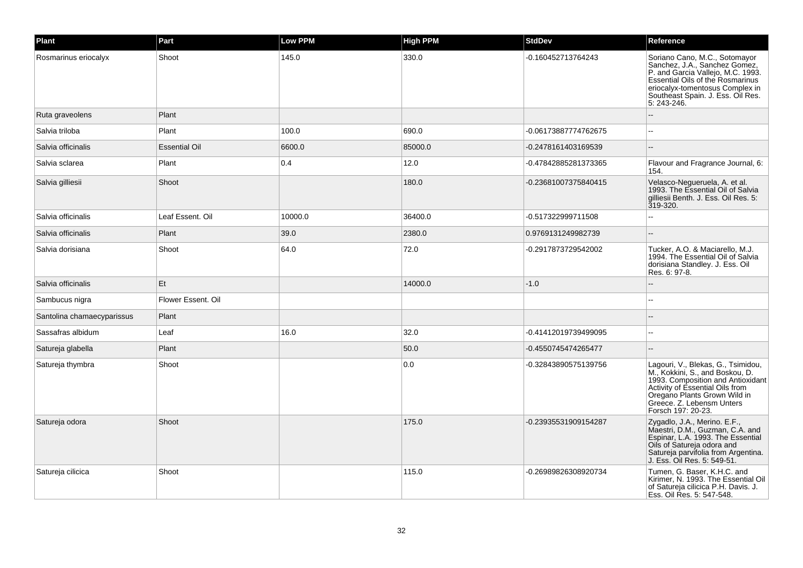| Plant                      | Part                 | <b>Low PPM</b> | <b>High PPM</b> | <b>StdDev</b>        | Reference                                                                                                                                                                                                                        |
|----------------------------|----------------------|----------------|-----------------|----------------------|----------------------------------------------------------------------------------------------------------------------------------------------------------------------------------------------------------------------------------|
| Rosmarinus eriocalyx       | Shoot                | 145.0          | 330.0           | -0.160452713764243   | Soriano Cano, M.C., Sotomayor<br>Sanchez, J.A., Sanchez Gomez,<br>P. and Garcia Vallejo, M.C. 1993.<br>Essential Oils of the Rosmarinus<br>eriocalyx-tomentosus Complex in<br>Southeast Spain. J. Ess. Oil Res.<br>5: 243-246.   |
| Ruta graveolens            | Plant                |                |                 |                      |                                                                                                                                                                                                                                  |
| Salvia triloba             | Plant                | 100.0          | 690.0           | -0.06173887774762675 |                                                                                                                                                                                                                                  |
| Salvia officinalis         | <b>Essential Oil</b> | 6600.0         | 85000.0         | -0.2478161403169539  |                                                                                                                                                                                                                                  |
| Salvia sclarea             | Plant                | 0.4            | 12.0            | -0.47842885281373365 | Flavour and Fragrance Journal, 6:<br>154.                                                                                                                                                                                        |
| Salvia gilliesii           | Shoot                |                | 180.0           | -0.23681007375840415 | Velasco-Negueruela, A. et al.<br>1993. The Essential Oil of Salvia<br>gilliesii Benth, J. Ess. Oil Res. 5:<br>319-320.                                                                                                           |
| Salvia officinalis         | Leaf Essent. Oil     | 10000.0        | 36400.0         | -0.517322999711508   |                                                                                                                                                                                                                                  |
| Salvia officinalis         | Plant                | 39.0           | 2380.0          | 0.9769131249982739   |                                                                                                                                                                                                                                  |
| Salvia dorisiana           | Shoot                | 64.0           | 72.0            | -0.2917873729542002  | Tucker, A.O. & Maciarello, M.J.<br>1994. The Essential Oil of Salvia<br>dorisiana Standley. J. Ess. Oil<br>Res. 6: 97-8.                                                                                                         |
| Salvia officinalis         | Et                   |                | 14000.0         | $-1.0$               |                                                                                                                                                                                                                                  |
| Sambucus nigra             | Flower Essent. Oil   |                |                 |                      |                                                                                                                                                                                                                                  |
| Santolina chamaecyparissus | Plant                |                |                 |                      |                                                                                                                                                                                                                                  |
| Sassafras albidum          | Leaf                 | 16.0           | 32.0            | -0.41412019739499095 |                                                                                                                                                                                                                                  |
| Satureja glabella          | Plant                |                | 50.0            | -0.4550745474265477  |                                                                                                                                                                                                                                  |
| Satureja thymbra           | Shoot                |                | 0.0             | -0.32843890575139756 | Lagouri, V., Blekas, G., Tsimidou,<br>M., Kokkini, S., and Boskou, D.<br>1993. Composition and Antioxidant<br>Activity of Essential Oils from<br>Oregano Plants Grown Wild in<br>Greece. Z. Lebensm Unters<br>Forsch 197: 20-23. |
| Satureja odora             | Shoot                |                | 175.0           | -0.23935531909154287 | Zygadlo, J.A., Merino. E.F.,<br>Maestri, D.M., Guzman, C.A. and<br>Espinar, L.A. 1993. The Essential<br>Colls of Satureja odora and<br>Satureja parvifolia from Argentina.<br>J. Ess. Oil Res. 5: 549-51.                        |
| Satureja cilicica          | Shoot                |                | 115.0           | -0.26989826308920734 | Tumen, G. Baser, K.H.C. and<br>Kirimer, N. 1993. The Essential Oil<br>of Satureja cilicica P.H. Davis. J.<br>Ess. Oil Res. 5: 547-548.                                                                                           |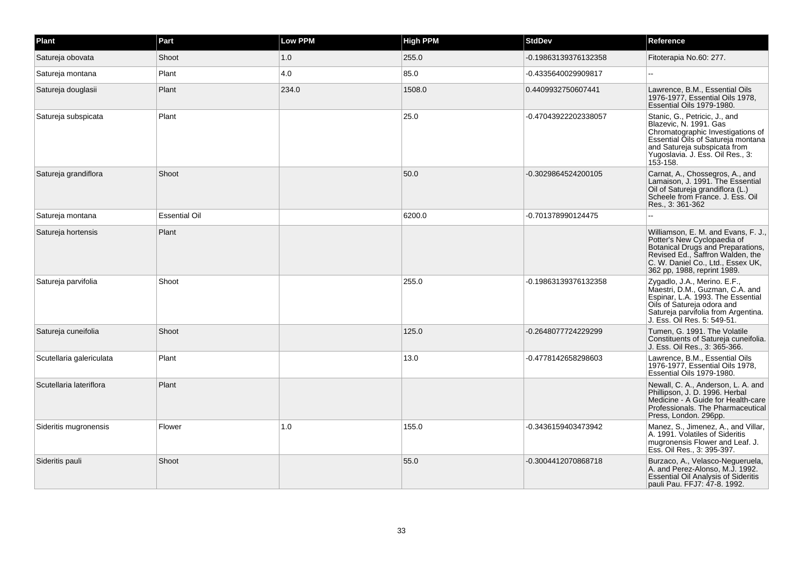| Plant                    | Part                 | <b>Low PPM</b> | <b>High PPM</b> | <b>StdDev</b>        | Reference                                                                                                                                                                                                          |
|--------------------------|----------------------|----------------|-----------------|----------------------|--------------------------------------------------------------------------------------------------------------------------------------------------------------------------------------------------------------------|
| Satureja obovata         | Shoot                | 1.0            | 255.0           | -0.19863139376132358 | Fitoterapia No.60: 277.                                                                                                                                                                                            |
| Satureja montana         | Plant                | 4.0            | 85.0            | -0.4335640029909817  | L.                                                                                                                                                                                                                 |
| Satureja douglasii       | Plant                | 234.0          | 1508.0          | 0.4409932750607441   | Lawrence, B.M., Essential Oils<br>1976-1977, Essential Oils 1978,<br>Essential Oils 1979-1980.                                                                                                                     |
| Satureja subspicata      | Plant                |                | 25.0            | -0.47043922202338057 | Stanic, G., Petricic, J., and<br>Blazevic, N. 1991. Gas<br>Chromatographic Investigations of<br>Essential Oils of Satureja montana<br>and Satureja subspicata from<br>Yugoslavia. J. Ess. Oil Res., 3:<br>153-158. |
| Satureja grandiflora     | Shoot                |                | 50.0            | -0.3029864524200105  | Carnat, A., Chossegros, A., and<br>Lamaison, J. 1991. The Essential<br>Oil of Satureja grandiflora (L.)<br>Scheele from France. J. Ess. Oil<br>Res., 3: 361-362                                                    |
| Satureja montana         | <b>Essential Oil</b> |                | 6200.0          | -0.701378990124475   |                                                                                                                                                                                                                    |
| Satureja hortensis       | Plant                |                |                 |                      | Williamson, E. M. and Evans, F. J.,<br>Potter's New Cyclopaedia of<br>Botanical Drugs and Preparations,<br>Revised Ed., Saffron Walden, the<br>C. W. Daniel Co., Ltd., Essex UK,<br>362 pp, 1988, reprint 1989.    |
| Satureja parvifolia      | Shoot                |                | 255.0           | -0.19863139376132358 | Zygadlo, J.A., Merino. E.F.,<br>Maestri, D.M., Guzman, C.A. and<br>Espinar, L.A. 1993. The Essential<br>Oils of Satureia odora and<br>Satureja parvifolia from Argentina.<br>J. Ess. Oil Res. 5: 549-51.           |
| Satureja cuneifolia      | Shoot                |                | 125.0           | -0.2648077724229299  | Tumen, G. 1991. The Volatile<br>Constituents of Satureja cuneifolia.<br>J. Ess. Oil Res., 3: 365-366.                                                                                                              |
| Scutellaria galericulata | Plant                |                | 13.0            | -0.4778142658298603  | Lawrence, B.M., Essential Oils<br>1976-1977, Essential Oils 1978,<br>Essential Oils 1979-1980.                                                                                                                     |
| Scutellaria lateriflora  | Plant                |                |                 |                      | Newall, C. A., Anderson, L. A. and<br>Phillipson, J. D. 1996. Herbal<br>Medicine - A Guide for Health-care<br>Professionals. The Pharmaceutical<br>Press, London. 296pp.                                           |
| Sideritis mugronensis    | Flower               | 1.0            | 155.0           | -0.3436159403473942  | Manez, S., Jimenez, A., and Villar,<br>A. 1991. Volatiles of Sideritis<br>mugronensis Flower and Leaf. J.<br>Ess. Oil Res., 3: 395-397.                                                                            |
| Sideritis pauli          | Shoot                |                | 55.0            | -0.3004412070868718  | Burzaco, A., Velasco-Nequeruela,<br>A. and Perez-Alonso, M.J. 1992.<br><b>Essential Oil Analysis of Sideritis</b><br>pauli Pau. FFJ7: 47-8. 1992.                                                                  |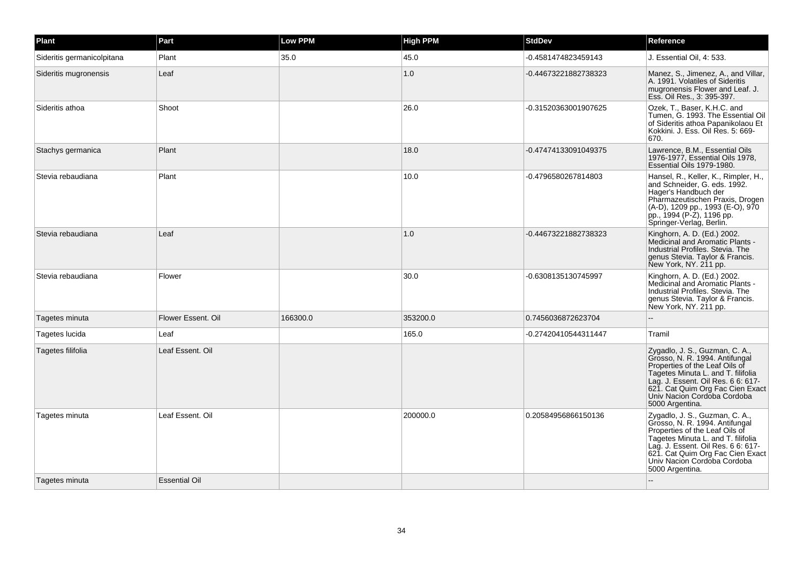| Plant                      | Part                 | <b>Low PPM</b> | <b>High PPM</b> | <b>StdDev</b>        | Reference                                                                                                                                                                                                                                                            |
|----------------------------|----------------------|----------------|-----------------|----------------------|----------------------------------------------------------------------------------------------------------------------------------------------------------------------------------------------------------------------------------------------------------------------|
| Sideritis germanicolpitana | Plant                | 35.0           | 45.0            | -0.4581474823459143  | J. Essential Oil, 4: 533.                                                                                                                                                                                                                                            |
| Sideritis mugronensis      | Leaf                 |                | 1.0             | -0.44673221882738323 | Manez, S., Jimenez, A., and Villar,<br>A. 1991. Volatiles of Sideritis<br>mugronensis Flower and Leaf. J.<br>Ess. Oil Res., 3: 395-397.                                                                                                                              |
| Sideritis athoa            | Shoot                |                | 26.0            | -0.31520363001907625 | Ozek, T., Baser, K.H.C. and<br>Tumen, G. 1993. The Essential Oil<br>of Sideritis athoa Papanikolaou Et<br>Kokkini. J. Ess. Oil Res. 5: 669-<br>670.                                                                                                                  |
| Stachys germanica          | Plant                |                | 18.0            | -0.47474133091049375 | Lawrence, B.M., Essential Oils<br>1976-1977. Essential Oils 1978.<br>Essential Oils 1979-1980.                                                                                                                                                                       |
| Stevia rebaudiana          | Plant                |                | 10.0            | -0.4796580267814803  | Hansel, R., Keller, K., Rimpler, H.,<br>and Schneider, G. eds. 1992.<br>Hager's Handbuch der<br>Pharmazeutischen Praxis, Drogen<br>(A-D), 1209 pp., 1993 (E-O), 970<br>pp., 1994 (P-Z), 1196 pp.<br>Springer-Verlag, Berlin.                                         |
| Stevia rebaudiana          | Leaf                 |                | 1.0             | -0.44673221882738323 | Kinghorn, A. D. (Ed.) 2002.<br>Medicinal and Aromatic Plants -<br>Industrial Profiles, Stevia, The<br>genus Stevia. Taylor & Francis.<br>New York, NY. 211 pp.                                                                                                       |
| Stevia rebaudiana          | Flower               |                | 30.0            | -0.6308135130745997  | Kinghorn, A. D. (Ed.) 2002.<br>Medicinal and Aromatic Plants -<br>Industrial Profiles, Stevia, The<br>genus Stevia. Taylor & Francis.<br>New York, NY. 211 pp.                                                                                                       |
| Tagetes minuta             | Flower Essent, Oil   | 166300.0       | 353200.0        | 0.7456036872623704   |                                                                                                                                                                                                                                                                      |
| Tagetes lucida             | Leaf                 |                | 165.0           | -0.27420410544311447 | Tramil                                                                                                                                                                                                                                                               |
| Tagetes filifolia          | Leaf Essent. Oil     |                |                 |                      | Zygadlo, J. S., Guzman, C. A.,<br>Grosso, N. R. 1994. Antifungal<br>Properties of the Leaf Oils of<br>Tagetes Minuta L. and T. filifolia<br>Lag. J. Essent. Oil Res. 6 6: 617-<br>621. Cat Quim Org Fac Cien Exact<br>Univ Nacion Cordoba Cordoba<br>5000 Argentina. |
| Tagetes minuta             | Leaf Essent. Oil     |                | 200000.0        | 0.20584956866150136  | Zygadlo, J. S., Guzman, C. A.,<br>Grosso, N. R. 1994. Antifungal<br>Properties of the Leaf Oils of<br>Tagetes Minuta L. and T. filifolia<br>Lag. J. Essent. Oil Res. 6 6: 617-<br>621. Cat Quim Org Fac Cien Exact<br>Univ Nacion Cordoba Cordoba<br>5000 Argentina. |
| Tagetes minuta             | <b>Essential Oil</b> |                |                 |                      |                                                                                                                                                                                                                                                                      |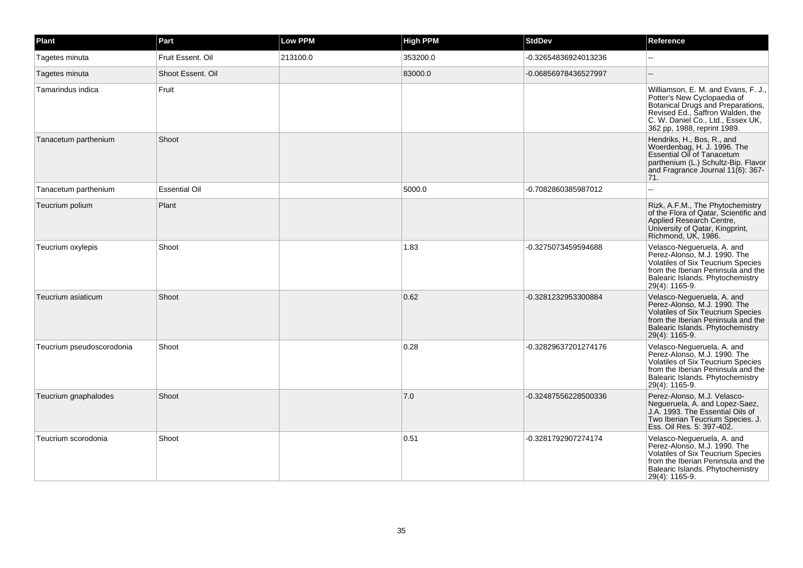| Plant                     | Part                 | <b>Low PPM</b> | <b>High PPM</b> | <b>StdDev</b>        | Reference                                                                                                                                                                                                       |
|---------------------------|----------------------|----------------|-----------------|----------------------|-----------------------------------------------------------------------------------------------------------------------------------------------------------------------------------------------------------------|
| Tagetes minuta            | Fruit Essent. Oil    | 213100.0       | 353200.0        | -0.32654836924013236 |                                                                                                                                                                                                                 |
| Tagetes minuta            | Shoot Essent. Oil    |                | 83000.0         | -0.06856978436527997 | $-$                                                                                                                                                                                                             |
| Tamarindus indica         | Fruit                |                |                 |                      | Williamson, E. M. and Evans, F. J.,<br>Potter's New Cyclopaedia of<br>Botanical Drugs and Preparations,<br>Revised Ed., Saffron Walden, the<br>C. W. Daniel Co., Ltd., Essex UK,<br>362 pp, 1988, reprint 1989. |
| Tanacetum parthenium      | Shoot                |                |                 |                      | Hendriks, H., Bos, R., and<br>Woerdenbag, H. J. 1996. The<br><b>Essential Oil of Tanacetum</b><br>parthenium (L.) Schultz-Bip. Flavor<br>and Fragrance Journal 11(6): 367-<br> 71.                              |
| Tanacetum parthenium      | <b>Essential Oil</b> |                | 5000.0          | -0.7082860385987012  | $\sim$                                                                                                                                                                                                          |
| Teucrium polium           | Plant                |                |                 |                      | Rizk, A.F.M., The Phytochemistry<br>of the Flora of Qatar, Scientific and<br>Applied Research Centre,<br>University of Qatar, Kingprint,<br>Richmond, UK, 1986.                                                 |
| Teucrium oxylepis         | Shoot                |                | 1.83            | -0.3275073459594688  | Velasco-Negueruela, A. and<br>Perez-Alonso, M.J. 1990. The<br>Volatiles of Six Teucrium Species<br>from the Iberian Peninsula and the<br>Balearic Islands. Phytochemistry<br>29(4): 1165-9.                     |
| Teucrium asiaticum        | Shoot                |                | 0.62            | -0.3281232953300884  | Velasco-Negueruela, A. and<br>Perez-Alonso, M.J. 1990. The<br>Volatiles of Six Teucrium Species<br>from the Iberian Peninsula and the<br>Balearic Islands. Phytochemistry<br>29(4): 1165-9.                     |
| Teucrium pseudoscorodonia | Shoot                |                | 0.28            | -0.32829637201274176 | Velasco-Negueruela, A. and<br>Perez-Alonso, M.J. 1990. The<br>Volatiles of Six Teucrium Species<br>from the Iberian Peninsula and the<br>Balearic Islands. Phytochemistry<br>29(4): 1165-9.                     |
| Teucrium gnaphalodes      | Shoot                |                | 7.0             | -0.32487556228500336 | Perez-Alonso, M.J. Velasco-<br>Nequeruela, A. and Lopez-Saez,<br>J.A. 1993. The Essential Oils of<br>Two Iberian Teucrium Species. J.<br>Ess. Oil Res. 5: 397-402.                                              |
| Teucrium scorodonia       | Shoot                |                | 0.51            | -0.3281792907274174  | Velasco-Negueruela, A. and<br>Perez-Alonso, M.J. 1990. The<br>Volatiles of Six Teucrium Species<br>from the Iberian Peninsula and the<br>Balearic Islands. Phytochemistry<br>29(4): 1165-9.                     |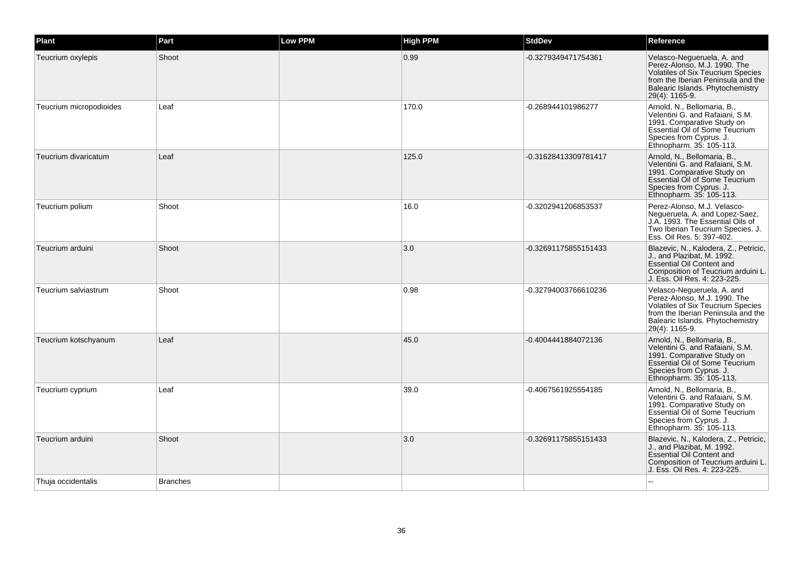| Plant                   | Part            | Low PPM | <b>High PPM</b> | <b>StdDev</b>        | Reference                                                                                                                                                                                          |
|-------------------------|-----------------|---------|-----------------|----------------------|----------------------------------------------------------------------------------------------------------------------------------------------------------------------------------------------------|
| Teucrium oxylepis       | Shoot           |         | 0.99            | -0.3279349471754361  | Velasco-Negueruela, A. and<br>Perez-Alonso, M.J. 1990. The<br><b>Volatiles of Six Teucrium Species</b><br>from the Iberian Peninsula and the<br>Balearic Islands. Phytochemistry<br>29(4): 1165-9. |
| Teucrium micropodioides | Leaf            |         | 170.0           | -0.268944101986277   | Arnold, N., Bellomaria, B.,<br>Velentini G. and Rafaiani, S.M.<br>1991. Comparative Study on<br>Essential Oil of Some Teucrium<br>Species from Cyprus. J.<br>Ethnopharm. 35: 105-113.              |
| Teucrium divaricatum    | Leaf            |         | 125.0           | -0.31628413309781417 | Arnold, N., Bellomaria, B.,<br>Velentini G. and Rafaiani, S.M.<br>1991. Comparative Study on<br><b>Essential Oil of Some Teucrium</b><br>Species from Cyprus. J.<br>Ethnopharm. 35: 105-113.       |
| Teucrium polium         | Shoot           |         | 16.0            | -0.3202941206853537  | Perez-Alonso, M.J. Velasco-<br>Negueruela, A. and Lopez-Saez,<br>J.A. 1993. The Essential Oils of<br>Two Iberian Teucrium Species. J.<br>Ess. Oil Res. 5: 397-402.                                 |
| Teucrium arduini        | Shoot           |         | 3.0             | -0.32691175855151433 | Blazevic, N., Kalodera, Z., Petricic,<br>J., and Plazibat, M. 1992.<br><b>Essential Oil Content and</b><br>Composition of Teucrium arduini L.<br>J. Ess. Oil Res. 4: 223-225.                      |
| Teucrium salviastrum    | Shoot           |         | 0.98            | -0.32794003766610236 | Velasco-Negueruela, A. and<br>Perez-Alonso, M.J. 1990. The<br><b>Volatiles of Six Teucrium Species</b><br>from the Iberian Peninsula and the<br>Balearic Islands. Phytochemistry<br>29(4): 1165-9. |
| Teucrium kotschyanum    | Leaf            |         | 45.0            | -0.4004441884072136  | Arnold, N., Bellomaria, B.,<br>Velentini G. and Rafaiani, S.M.<br>1991. Comparative Study on<br>Essential Oil of Some Teucrium<br>Species from Cyprus. J.<br>Ethnopharm. 35: 105-113.              |
| Teucrium cyprium        | Leaf            |         | 39.0            | -0.4067561925554185  | Arnold, N., Bellomaria, B.,<br>Velentini G. and Rafaiani, S.M.<br>1991. Comparative Study on<br>Essential Oil of Some Teucrium<br>Species from Cyprus. J.<br>Ethnopharm. 35: 105-113.              |
| Teucrium arduini        | Shoot           |         | 3.0             | -0.32691175855151433 | Blazevic, N., Kalodera, Z., Petricic,<br>J., and Plazibat, M. 1992.<br>Essential Oil Content and<br>Composition of Teucrium arduini L.<br>J. Ess. Oil Res. 4: 223-225.                             |
| Thuja occidentalis      | <b>Branches</b> |         |                 |                      |                                                                                                                                                                                                    |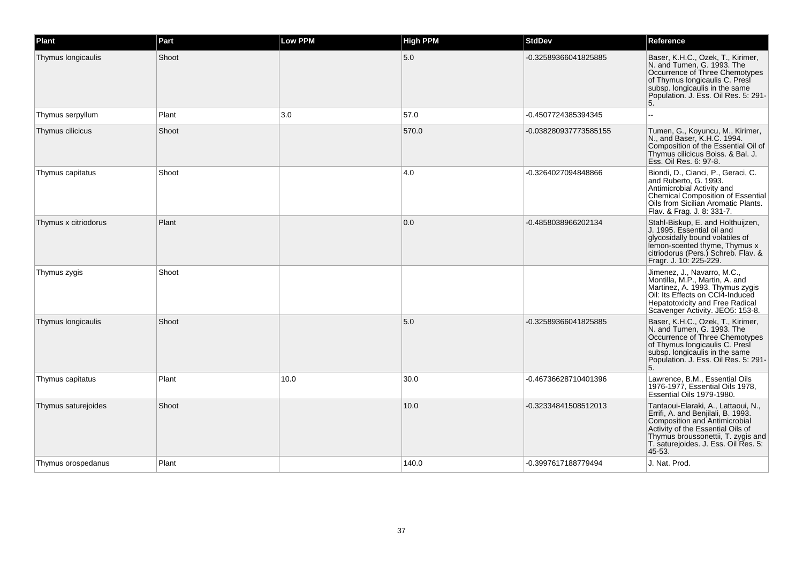| Plant                | Part  | <b>Low PPM</b> | <b>High PPM</b> | <b>StdDev</b>         | Reference                                                                                                                                                                                                                               |
|----------------------|-------|----------------|-----------------|-----------------------|-----------------------------------------------------------------------------------------------------------------------------------------------------------------------------------------------------------------------------------------|
| Thymus longicaulis   | Shoot |                | 5.0             | -0.32589366041825885  | Baser, K.H.C., Ozek, T., Kirimer,<br>N. and Tumen, G. 1993. The<br>Occurrence of Three Chemotypes<br>of Thymus longicaulis C. Presi<br>subsp. longicaulis in the same<br>Population. J. Ess. Oil Res. 5: 291-<br>5.                     |
| Thymus serpyllum     | Plant | 3.0            | 57.0            | -0.4507724385394345   |                                                                                                                                                                                                                                         |
| Thymus cilicicus     | Shoot |                | 570.0           | -0.038280937773585155 | Tumen, G., Koyuncu, M., Kirimer,<br>N., and Baser, K.H.C. 1994.<br>Composition of the Essential Oil of<br>Thymus cilicicus Boiss. & Bal. J.<br>Ess. Oil Res. 6: 97-8.                                                                   |
| Thymus capitatus     | Shoot |                | 4.0             | -0.3264027094848866   | Biondi, D., Cianci, P., Geraci, C.<br>and Ruberto, G. 1993.<br>Antimicrobial Activity and<br>Chemical Composition of Essential<br>Oils from Sicilian Aromatic Plants.<br>Flav. & Frag. J. 8: 331-7.                                     |
| Thymus x citriodorus | Plant |                | 0.0             | -0.4858038966202134   | Stahl-Biskup, E. and Holthuijzen,<br>J. 1995. Essential oil and<br>glycosidally bound volatiles of<br>lemon-scented thyme, Thymus x<br>citriodorus (Pers.) Schreb. Flav. &<br>Fragr. J. 10: 225-229.                                    |
| Thymus zygis         | Shoot |                |                 |                       | Jimenez, J., Navarro, M.C.,<br>Montilla, M.P., Martin, A. and<br>Martinez, A. 1993. Thymus zygis<br>Oil: Its Effects on CCI4-Induced<br>Hepatotoxicity and Free Radical<br>Scavenger Activity. JEO5: 153-8.                             |
| Thymus longicaulis   | Shoot |                | 5.0             | -0.32589366041825885  | Baser, K.H.C., Ozek, T., Kirimer,<br>N. and Tumen, G. 1993. The<br>Occurrence of Three Chemotypes<br>of Thymus longicaulis C. Presi<br>subsp. longicaulis in the same<br>Population. J. Ess. Oil Res. 5: 291-<br>5.                     |
| Thymus capitatus     | Plant | 10.0           | 30.0            | -0.46736628710401396  | Lawrence, B.M., Essential Oils<br>1976-1977, Essential Oils 1978,<br>Essential Oils 1979-1980.                                                                                                                                          |
| Thymus saturejoides  | Shoot |                | 10.0            | -0.32334841508512013  | Tantaoui-Elaraki, A., Lattaoui, N.,<br>Errifi, A. and Benjilali, B. 1993.<br>Composition and Antimicrobial<br>Activity of the Essential Oils of<br>Thymus broussonettii, T. zygis and<br>T. saturejoides. J. Ess. Oil Res. 5:<br>45-53. |
| Thymus orospedanus   | Plant |                | 140.0           | -0.3997617188779494   | J. Nat. Prod.                                                                                                                                                                                                                           |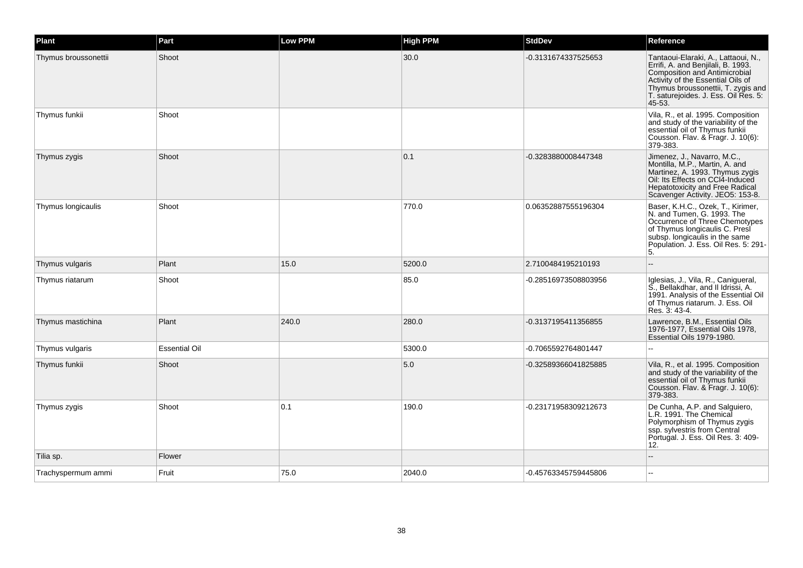| Plant                | Part                 | <b>Low PPM</b> | <b>High PPM</b> | <b>StdDev</b>        | Reference                                                                                                                                                                                                                               |
|----------------------|----------------------|----------------|-----------------|----------------------|-----------------------------------------------------------------------------------------------------------------------------------------------------------------------------------------------------------------------------------------|
| Thymus broussonettii | Shoot                |                | 30.0            | -0.3131674337525653  | Tantaoui-Elaraki, A., Lattaoui, N.,<br>Errifi, A. and Benjilali, B. 1993.<br>Composition and Antimicrobial<br>Activity of the Essential Oils of<br>Thymus broussonettii, T. zygis and<br>T. saturejoides. J. Ess. Oil Res. 5:<br>45-53. |
| Thymus funkii        | Shoot                |                |                 |                      | Vila, R., et al. 1995. Composition<br>and study of the variability of the<br>essential oil of Thymus funkii<br>Cousson. Flav. & Fragr. J. 10(6):<br>379-383.                                                                            |
| Thymus zygis         | Shoot                |                | 0.1             | -0.3283880008447348  | Jimenez, J., Navarro, M.C.,<br>Montilla, M.P., Martin, A. and<br>Martinez, A. 1993. Thymus zygis<br>Oil: Its Effects on CCI4-Induced<br><b>Hepatotoxicity and Free Radical</b><br>Scavenger Activity. JEO5: 153-8.                      |
| Thymus longicaulis   | Shoot                |                | 770.0           | 0.06352887555196304  | Baser, K.H.C., Ozek, T., Kirimer,<br>N. and Tumen, G. 1993. The<br>Occurrence of Three Chemotypes<br>of Thymus longicaulis C. Presi<br>subsp. longicaulis in the same<br>Population. J. Ess. Oil Res. 5: 291-<br>5.                     |
| Thymus vulgaris      | Plant                | 15.0           | 5200.0          | 2.7100484195210193   |                                                                                                                                                                                                                                         |
| Thymus riatarum      | Shoot                |                | 85.0            | -0.28516973508803956 | Iglesias, J., Vila, R., Canigueral,<br>S., Bellakdhar, and II Idrissi, A.<br>1991. Analysis of the Essential Oil<br>of Thymus riatarum. J. Ess. Oil<br>Res. 3: 43-4.                                                                    |
| Thymus mastichina    | Plant                | 240.0          | 280.0           | -0.3137195411356855  | Lawrence, B.M., Essential Oils<br>1976-1977, Essential Oils 1978,<br>Essential Oils 1979-1980.                                                                                                                                          |
| Thymus vulgaris      | <b>Essential Oil</b> |                | 5300.0          | -0.7065592764801447  |                                                                                                                                                                                                                                         |
| Thymus funkii        | Shoot                |                | 5.0             | -0.32589366041825885 | Vila, R., et al. 1995. Composition<br>and study of the variability of the<br>essential oil of Thymus funkii<br>Cousson. Flav. & Fragr. J. 10(6).<br>379-383.                                                                            |
| Thymus zygis         | Shoot                | 0.1            | 190.0           | -0.23171958309212673 | De Cunha, A.P. and Salguiero,<br>L.R. 1991. The Chemical<br>Polymorphism of Thymus zygis<br>ssp. sylvestris from Central<br>Portugal. J. Ess. Oil Res. 3: 409-<br>12.                                                                   |
| Tilia sp.            | Flower               |                |                 |                      |                                                                                                                                                                                                                                         |
| Trachyspermum ammi   | Fruit                | 75.0           | 2040.0          | -0.45763345759445806 |                                                                                                                                                                                                                                         |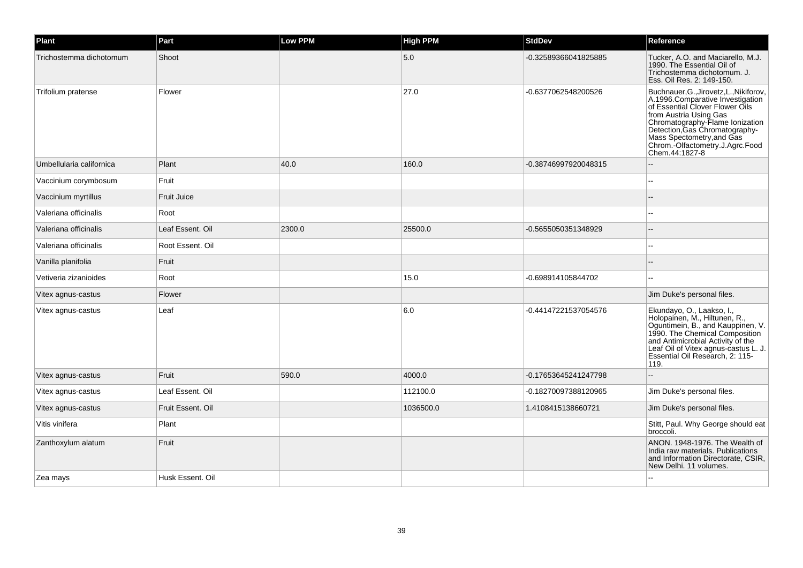| Plant                    | Part               | <b>Low PPM</b> | <b>High PPM</b> | <b>StdDev</b>        | Reference                                                                                                                                                                                                                                                                                       |
|--------------------------|--------------------|----------------|-----------------|----------------------|-------------------------------------------------------------------------------------------------------------------------------------------------------------------------------------------------------------------------------------------------------------------------------------------------|
| Trichostemma dichotomum  | Shoot              |                | 5.0             | -0.32589366041825885 | Tucker, A.O. and Maciarello, M.J.<br>1990. The Essential Oil of<br>Trichostemma dichotomum. J.<br>Ess. Oil Res. 2: 149-150.                                                                                                                                                                     |
| Trifolium pratense       | Flower             |                | 27.0            | -0.6377062548200526  | Buchnauer, G., Jirovetz, L., Nikiforov,<br>A.1996.Comparative Investigation<br>of Essential Clover Flower Oils<br>from Austria Using Gas<br>Chromatography-Flame Ionization<br>Detection, Gas Chromatography-<br>Mass Spectometry, and Gas<br>Chrom.-Olfactometry.J.Agrc.Food<br>Chem.44:1827-8 |
| Umbellularia californica | Plant              | 40.0           | 160.0           | -0.38746997920048315 |                                                                                                                                                                                                                                                                                                 |
| Vaccinium corymbosum     | Fruit              |                |                 |                      |                                                                                                                                                                                                                                                                                                 |
| Vaccinium myrtillus      | <b>Fruit Juice</b> |                |                 |                      |                                                                                                                                                                                                                                                                                                 |
| Valeriana officinalis    | Root               |                |                 |                      |                                                                                                                                                                                                                                                                                                 |
| Valeriana officinalis    | Leaf Essent, Oil   | 2300.0         | 25500.0         | -0.5655050351348929  |                                                                                                                                                                                                                                                                                                 |
| Valeriana officinalis    | Root Essent. Oil   |                |                 |                      |                                                                                                                                                                                                                                                                                                 |
| Vanilla planifolia       | Fruit              |                |                 |                      |                                                                                                                                                                                                                                                                                                 |
| Vetiveria zizanioides    | Root               |                | 15.0            | -0.698914105844702   |                                                                                                                                                                                                                                                                                                 |
| Vitex agnus-castus       | Flower             |                |                 |                      | Jim Duke's personal files.                                                                                                                                                                                                                                                                      |
| Vitex agnus-castus       | Leaf               |                | 6.0             | -0.44147221537054576 | Ekundayo, O., Laakso, I.,<br>Holopainen, M., Hiltunen, R.,<br>Oguntimein, B., and Kauppinen, V.<br>1990. The Chemical Composition<br>and Antimicrobial Activity of the<br>Leaf Oil of Vitex agnus-castus L. J.<br>Essential Oil Research, 2: 115-<br>119.                                       |
| Vitex agnus-castus       | Fruit              | 590.0          | 4000.0          | -0.17653645241247798 |                                                                                                                                                                                                                                                                                                 |
| Vitex agnus-castus       | Leaf Essent. Oil   |                | 112100.0        | -0.18270097388120965 | Jim Duke's personal files.                                                                                                                                                                                                                                                                      |
| Vitex agnus-castus       | Fruit Essent, Oil  |                | 1036500.0       | 1.4108415138660721   | Jim Duke's personal files.                                                                                                                                                                                                                                                                      |
| Vitis vinifera           | Plant              |                |                 |                      | Stitt, Paul. Why George should eat<br>broccoli.                                                                                                                                                                                                                                                 |
| Zanthoxylum alatum       | Fruit              |                |                 |                      | ANON, 1948-1976. The Wealth of<br>India raw materials, Publications<br>and Information Directorate, CSIR,<br>New Delhi. 11 volumes.                                                                                                                                                             |
| Zea mays                 | Husk Essent, Oil   |                |                 |                      |                                                                                                                                                                                                                                                                                                 |